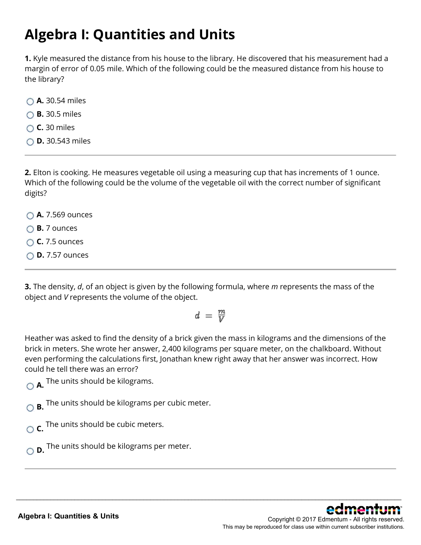### **Algebra I: Quantities and Units**

**1.** Kyle measured the distance from his house to the library. He discovered that his measurement had a margin of error of 0.05 mile. Which of the following could be the measured distance from his house to the library?

- **A.** 30.54 miles
- **B.** 30.5 miles
- **C.** 30 miles
- **D.** 30.543 miles

**2.** Elton is cooking. He measures vegetable oil using a measuring cup that has increments of 1 ounce. Which of the following could be the volume of the vegetable oil with the correct number of significant digits?

- **A.** 7.569 ounces
- **B.** 7 ounces
- **C.** 7.5 ounces
- **D.** 7.57 ounces

**3.** The density, *d*, of an object is given by the following formula, where *m* represents the mass of the object and *V* represents the volume of the object.

$$
d = \frac{m}{V}
$$

Heather was asked to find the density of a brick given the mass in kilograms and the dimensions of the brick in meters. She wrote her answer, 2,400 kilograms per square meter, on the chalkboard. Without even performing the calculations first, Jonathan knew right away that her answer was incorrect. How could he tell there was an error?

\_\_\_\_\_\_\_\_\_\_\_\_\_\_\_\_\_\_\_\_\_\_\_\_\_\_\_\_\_\_\_\_\_\_\_\_\_\_\_\_\_\_\_\_\_\_\_\_\_\_\_\_\_\_\_\_\_\_\_\_\_\_\_\_\_\_\_\_\_\_\_\_\_\_\_\_\_\_\_\_\_\_\_\_\_\_\_\_\_\_\_\_\_\_\_\_\_\_\_\_\_\_\_\_\_\_\_\_\_\_\_\_

**A.** The units should be kilograms.

**B.** The units should be kilograms per cubic meter.

**C.** The units should be cubic meters.

**D.** The units should be kilograms per meter.

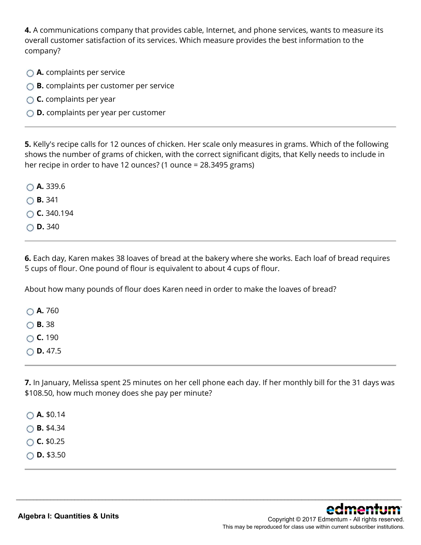**4.** A communications company that provides cable, Internet, and phone services, wants to measure its overall customer satisfaction of its services. Which measure provides the best information to the company?

- **A.** complaints per service
- **B.** complaints per customer per service
- **C.** complaints per year
- **D.** complaints per year per customer

**5.** Kelly's recipe calls for 12 ounces of chicken. Her scale only measures in grams. Which of the following shows the number of grams of chicken, with the correct significant digits, that Kelly needs to include in her recipe in order to have 12 ounces? (1 ounce = 28.3495 grams)

|  | $\bigcirc$ A. 339.6 |
|--|---------------------|
|  | $\bigcirc$ B. 341   |
|  | $\circ$ C. 340.194  |
|  | $\circ$ D. 340      |

**6.** Each day, Karen makes 38 loaves of bread at the bakery where she works. Each loaf of bread requires 5 cups of flour. One pound of flour is equivalent to about 4 cups of flour.

About how many pounds of flour does Karen need in order to make the loaves of bread?

**A.** 760 **B.** 38 **C.** 190 **D.** 47.5

**7.** In January, Melissa spent 25 minutes on her cell phone each day. If her monthly bill for the 31 days was \$108.50, how much money does she pay per minute?

\_\_\_\_\_\_\_\_\_\_\_\_\_\_\_\_\_\_\_\_\_\_\_\_\_\_\_\_\_\_\_\_\_\_\_\_\_\_\_\_\_\_\_\_\_\_\_\_\_\_\_\_\_\_\_\_\_\_\_\_\_\_\_\_\_\_\_\_\_\_\_\_\_\_\_\_\_\_\_\_\_\_\_\_\_\_\_\_\_\_\_\_\_\_\_\_\_\_\_\_\_\_\_\_\_\_\_\_\_\_\_\_

**A.** \$0.14 **B.** \$4.34

 $\circ$  **C.** \$0.25

**D.** \$3.50

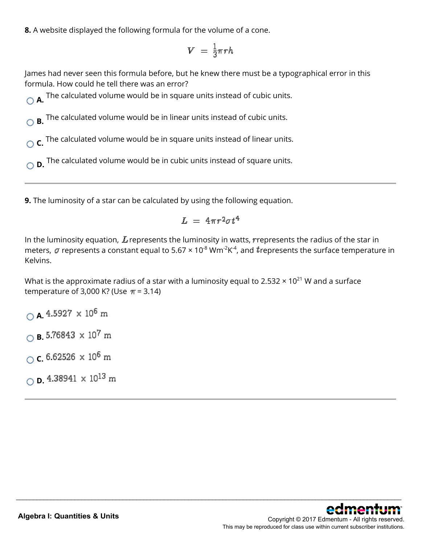**8.** A website displayed the following formula for the volume of a cone.

$$
V = \frac{1}{3}\pi rh
$$

James had never seen this formula before, but he knew there must be a typographical error in this formula. How could he tell there was an error?

**A.** The calculated volume would be in square units instead of cubic units.

**B.** The calculated volume would be in linear units instead of cubic units.

**C.** The calculated volume would be in square units instead of linear units.

**D.** The calculated volume would be in cubic units instead of square units.

**9.** The luminosity of a star can be calculated by using the following equation.

$$
L = 4\pi r^2 \sigma t^4
$$

In the luminosity equation,  $L$  represents the luminosity in watts, represents the radius of the star in meters,  $\sigma$  represents a constant equal to 5.67  $\times$  10<sup>-8</sup> Wm<sup>-2</sup>K<sup>-4</sup>, and trepresents the surface temperature in Kelvins.

\_\_\_\_\_\_\_\_\_\_\_\_\_\_\_\_\_\_\_\_\_\_\_\_\_\_\_\_\_\_\_\_\_\_\_\_\_\_\_\_\_\_\_\_\_\_\_\_\_\_\_\_\_\_\_\_\_\_\_\_\_\_\_\_\_\_\_\_\_\_\_\_\_\_\_\_\_\_\_\_\_\_\_\_\_\_\_\_\_\_\_\_\_\_\_\_\_\_\_\_\_\_\_\_\_\_\_\_\_\_\_\_

What is the approximate radius of a star with a luminosity equal to 2.532  $\times$  10<sup>21</sup> W and a surface temperature of 3,000 K? (Use  $\pi$  = 3.14)

 $\bigcirc$  **A.** 4.5927  $\times$  10<sup>6</sup> m  $\bigcirc$  **B.** 5.76843  $\times$  10<sup>7</sup> m  $\circ$  **c.** 6.62526  $\times$  10<sup>6</sup> m  $\bigcirc$  **D.** 4.38941  $\times$  10<sup>13</sup> m

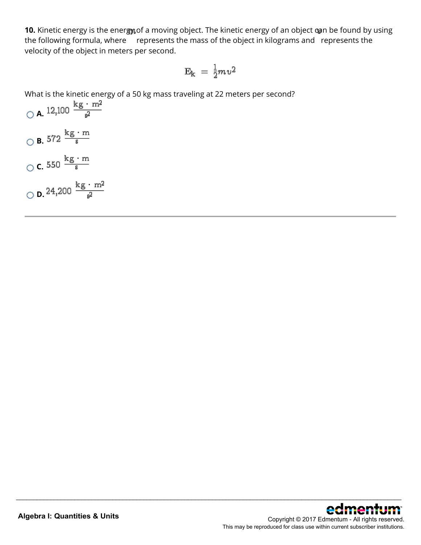**10.** Kinetic energy is the energy of a moving object. The kinetic energy of an object can be found by using the following formula, where represents the mass of the object in kilograms and represents the velocity of the object in meters per second.

$$
\text{E}_\text{k}\,=\,\frac{1}{2}m\textit{v}^2
$$

\_\_\_\_\_\_\_\_\_\_\_\_\_\_\_\_\_\_\_\_\_\_\_\_\_\_\_\_\_\_\_\_\_\_\_\_\_\_\_\_\_\_\_\_\_\_\_\_\_\_\_\_\_\_\_\_\_\_\_\_\_\_\_\_\_\_\_\_\_\_\_\_\_\_\_\_\_\_\_\_\_\_\_\_\_\_\_\_\_\_\_\_\_\_\_\_\_\_\_\_\_\_\_\_\_\_\_\_\_\_\_\_

What is the kinetic energy of a 50 kg mass traveling at 22 meters per second?

\n- ○ A. 12,100 
$$
\frac{\text{kg} \cdot \text{m}^2}{\text{s}^2}
$$
\n- ○ B. 572  $\frac{\text{kg} \cdot \text{m}}{\text{s}}$
\n- ○ C. 550  $\frac{\text{kg} \cdot \text{m}}{\text{s}}$
\n- ○ D. 24,200  $\frac{\text{kg} \cdot \text{m}^2}{\text{s}^2}$
\n

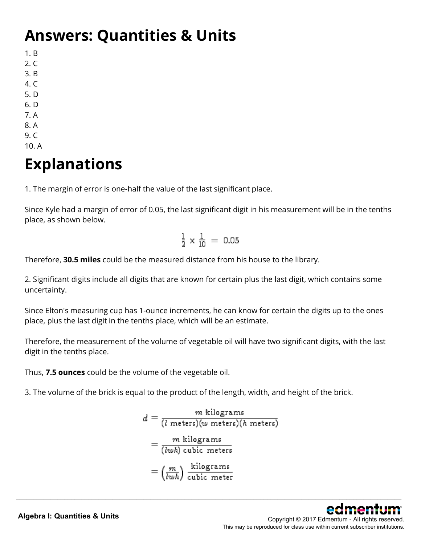## **Answers: Quantities & Units**

1. B

- 2. C
- 3. B
- 4. C
- 5. D
- 6. D
- 7. A
- 8. A
- 9. C
- 10. A

# **Explanations**

1. The margin of error is one-half the value of the last significant place.

Since Kyle had a margin of error of 0.05, the last significant digit in his measurement will be in the tenths place, as shown below.

$$
\frac{1}{2} \times \frac{1}{10} = 0.05
$$

Therefore, **30.5 miles** could be the measured distance from his house to the library.

2. Significant digits include all digits that are known for certain plus the last digit, which contains some uncertainty.

Since Elton's measuring cup has 1-ounce increments, he can know for certain the digits up to the ones place, plus the last digit in the tenths place, which will be an estimate.

Therefore, the measurement of the volume of vegetable oil will have two significant digits, with the last digit in the tenths place.

Thus, **7.5 ounces** could be the volume of the vegetable oil.

3. The volume of the brick is equal to the product of the length, width, and height of the brick.

$$
d = \frac{m \text{ kilograms}}{(l \text{ meters})(w \text{ meters})(h \text{ meters})}
$$

$$
= \frac{m \text{ kilograms}}{(lwh) \text{ cubic meters}}
$$

$$
= \left(\frac{m}{lwh}\right) \frac{\text{kilograms}}{\text{cubic meter}}
$$

\_\_\_\_\_\_\_\_\_\_\_\_\_\_\_\_\_\_\_\_\_\_\_\_\_\_\_\_\_\_\_\_\_\_\_\_\_\_\_\_\_\_\_\_\_\_\_\_\_\_\_\_\_\_\_\_\_\_\_\_\_\_\_\_\_\_\_\_\_\_\_\_\_\_\_\_\_\_\_\_\_\_\_\_\_\_\_\_\_\_\_\_\_\_\_\_\_\_\_\_\_\_\_\_\_\_\_\_\_\_\_\_

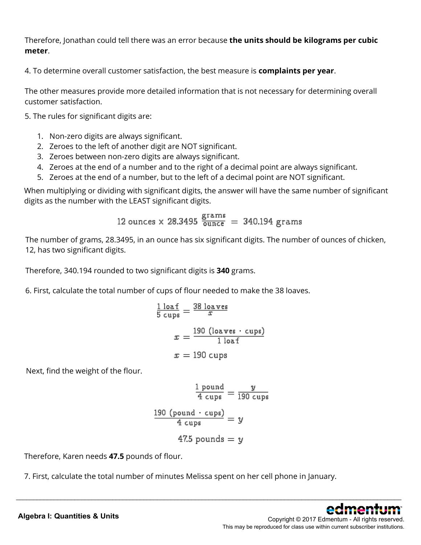Therefore, Jonathan could tell there was an error because **the units should be kilograms per cubic meter**.

4. To determine overall customer satisfaction, the best measure is **complaints per year**.

The other measures provide more detailed information that is not necessary for determining overall customer satisfaction.

5. The rules for significant digits are:

- 1. Non-zero digits are always significant.
- 2. Zeroes to the left of another digit are NOT significant.
- 3. Zeroes between non-zero digits are always significant.
- 4. Zeroes at the end of a number and to the right of a decimal point are always significant.
- 5. Zeroes at the end of a number, but to the left of a decimal point are NOT significant.

When multiplying or dividing with significant digits, the answer will have the same number of significant digits as the number with the LEAST significant digits.

$$
12\; \text{ounces} \times 28.3495 \;\frac{\text{grams}}{\text{ounce}}\;=\;340.194 \;\text{grams}
$$

The number of grams, 28.3495, in an ounce has six significant digits. The number of ounces of chicken, 12, has two significant digits.

Therefore, 340.194 rounded to two significant digits is **340** grams.

6. First, calculate the total number of cups of flour needed to make the 38 loaves.

$$
\frac{1 \log f}{5 \text{ cups}} = \frac{38 \log \text{ves}}{x}
$$

$$
x = \frac{190 \text{ (loaves } \cdot \text{ cups)}}{1 \log \text{tons}}
$$

$$
x = 190 \text{ cups}
$$

Next, find the weight of the flour.

$$
\frac{\frac{1 \text{ pound}}{4 \text{ cups}}}{\frac{190 \text{ cups}}{4 \text{ cups}}} = \frac{y}{190 \text{ cups}}
$$
\n
$$
\frac{190 \text{ (pound} \cdot \text{ cups})}{4 \text{ cups}} = y
$$
\n
$$
47.5 \text{ pounds} = y
$$

\_\_\_\_\_\_\_\_\_\_\_\_\_\_\_\_\_\_\_\_\_\_\_\_\_\_\_\_\_\_\_\_\_\_\_\_\_\_\_\_\_\_\_\_\_\_\_\_\_\_\_\_\_\_\_\_\_\_\_\_\_\_\_\_\_\_\_\_\_\_\_\_\_\_\_\_\_\_\_\_\_\_\_\_\_\_\_\_\_\_\_\_\_\_\_\_\_\_\_\_\_\_\_\_\_\_\_\_\_\_\_\_

Therefore, Karen needs **47.5** pounds of flour.

7. First, calculate the total number of minutes Melissa spent on her cell phone in January.

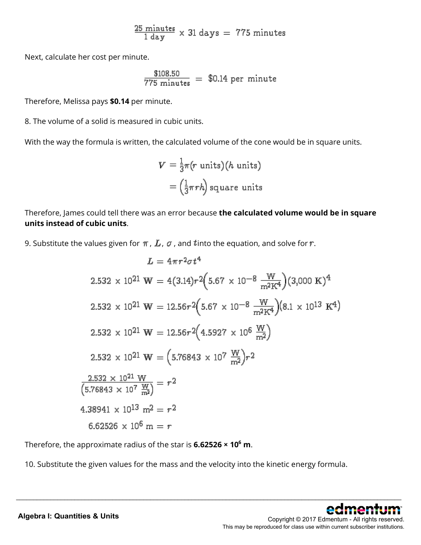$$
\frac{25 \text{ minutes}}{1 \text{ day}} \times 31 \text{ days} = 775 \text{ minutes}
$$

Next, calculate her cost per minute.

$$
\frac{\$108.50}{775 \text{ minutes}} = \$0.14 \text{ per minute}
$$

Therefore, Melissa pays **\$0.14** per minute.

8. The volume of a solid is measured in cubic units.

With the way the formula is written, the calculated volume of the cone would be in square units.

$$
V = \frac{1}{3}\pi(r \text{ units})(h \text{ units})
$$

$$
= \left(\frac{1}{3}\pi rh\right) \text{square units}
$$

Therefore, James could tell there was an error because **the calculated volume would be in square units instead of cubic units**.

9. Substitute the values given for  $\pi$ ,  $L$ ,  $\sigma$ , and  $t$  into the equation, and solve for  $r$ .

$$
L = 4\pi r^2 \sigma t^4
$$
  
\n2.532 × 10<sup>21</sup> W = 4(3.14)r<sup>2</sup> (5.67 × 10<sup>-8</sup>  $\frac{W}{m^2 K^4}$ )(3,000 K)<sup>4</sup>  
\n2.532 × 10<sup>21</sup> W = 12.56r<sup>2</sup> (5.67 × 10<sup>-8</sup>  $\frac{W}{m^2 K^4}$ )(8.1 × 10<sup>13</sup> K<sup>4</sup>)  
\n2.532 × 10<sup>21</sup> W = 12.56r<sup>2</sup> (4.5927 × 10<sup>6</sup>  $\frac{W}{m^2}$ )  
\n2.532 × 10<sup>21</sup> W = (5.76843 × 10<sup>7</sup>  $\frac{W}{m^2}$ )r<sup>2</sup>  
\n2.532 × 10<sup>21</sup> W  
\n4.38941 × 10<sup>13</sup> m<sup>2</sup> = r<sup>2</sup>  
\n6.62526 × 10<sup>6</sup> m = r

Therefore, the approximate radius of the star is **6.62526 × 106 m**.

10. Substitute the given values for the mass and the velocity into the kinetic energy formula.

\_\_\_\_\_\_\_\_\_\_\_\_\_\_\_\_\_\_\_\_\_\_\_\_\_\_\_\_\_\_\_\_\_\_\_\_\_\_\_\_\_\_\_\_\_\_\_\_\_\_\_\_\_\_\_\_\_\_\_\_\_\_\_\_\_\_\_\_\_\_\_\_\_\_\_\_\_\_\_\_\_\_\_\_\_\_\_\_\_\_\_\_\_\_\_\_\_\_\_\_\_\_\_\_\_\_\_\_\_\_\_\_

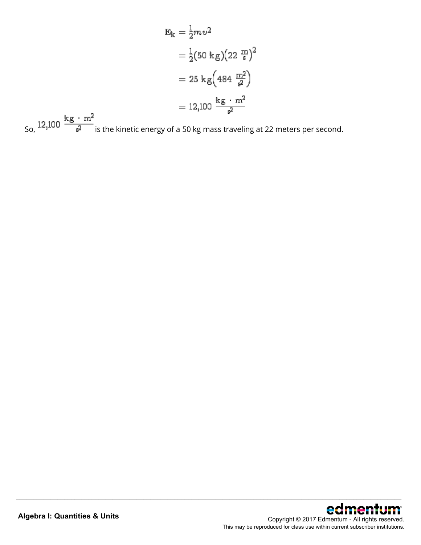$$
E_{k} = \frac{1}{2}mv^{2}
$$
  
=  $\frac{1}{2}(50 \text{ kg})(22 \frac{m}{s})^{2}$   
= 25 kg(484  $\frac{m^{2}}{s^{2}}$ )  
= 12,100  $\frac{\text{kg} \cdot m^{2}}{s^{2}}$ 

\_\_\_\_\_\_\_\_\_\_\_\_\_\_\_\_\_\_\_\_\_\_\_\_\_\_\_\_\_\_\_\_\_\_\_\_\_\_\_\_\_\_\_\_\_\_\_\_\_\_\_\_\_\_\_\_\_\_\_\_\_\_\_\_\_\_\_\_\_\_\_\_\_\_\_\_\_\_\_\_\_\_\_\_\_\_\_\_\_\_\_\_\_\_\_\_\_\_\_\_\_\_\_\_\_\_\_\_\_\_\_\_

So,  $12,100 \frac{\text{kg} \cdot \text{m}^2}{\text{s}^2}$  is the kinetic energy of a 50 kg mass traveling at 22 meters per second.

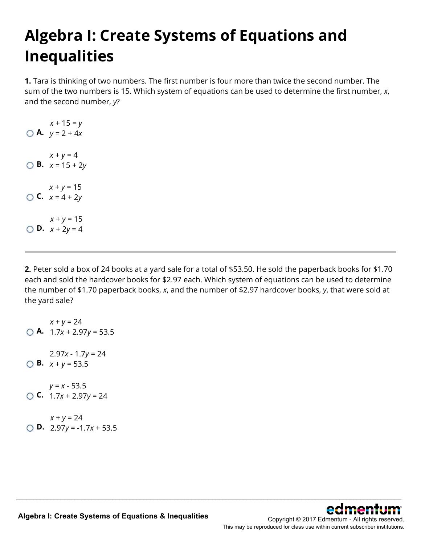# **Algebra I: Create Systems of Equations and Inequalities**

**1.** Tara is thinking of two numbers. The first number is four more than twice the second number. The sum of the two numbers is 15. Which system of equations can be used to determine the first number, *x*, and the second number, *y*?

**A.**  $y = 2 + 4x$ *x* + 15 = *y* **B.**  $x = 15 + 2y$  $x + y = 4$ **C.**  $x = 4 + 2y$  $x + y = 15$ **D.**  $x + 2y = 4$  $x + y = 15$ 

**2.** Peter sold a box of 24 books at a yard sale for a total of \$53.50. He sold the paperback books for \$1.70 each and sold the hardcover books for \$2.97 each. Which system of equations can be used to determine the number of \$1.70 paperback books, *x*, and the number of \$2.97 hardcover books, *y*, that were sold at the yard sale?

\_\_\_\_\_\_\_\_\_\_\_\_\_\_\_\_\_\_\_\_\_\_\_\_\_\_\_\_\_\_\_\_\_\_\_\_\_\_\_\_\_\_\_\_\_\_\_\_\_\_\_\_\_\_\_\_\_\_\_\_\_\_\_\_\_\_\_\_\_\_\_\_\_\_\_\_\_\_\_\_\_\_\_\_\_\_\_\_\_\_\_\_\_\_\_\_\_\_\_\_\_\_\_\_\_\_\_\_\_\_\_\_

**A.** 1.7*x* + 2.97*y* = 53.5  $x + y = 24$ **B.**  $x + y = 53.5$ 2.97*x* - 1.7*y* = 24 **C.**  $1.7x + 2.97y = 24$ *y* = *x* - 53.5  $x + y = 24$ 

**D.** 2.97*y* = -1.7*x* + 53.5

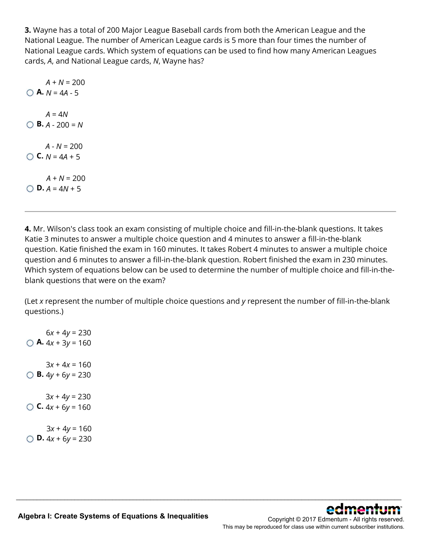**3.** Wayne has a total of 200 Major League Baseball cards from both the American League and the National League. The number of American League cards is 5 more than four times the number of National League cards. Which system of equations can be used to find how many American Leagues cards, *A*, and National League cards, *N*, Wayne has?

**A.**  $N = 4A - 5$  $A + N = 200$ **B.** *A* - 200 = *N*  $A = 4N$ **C.**  $N = 4A + 5$  $A - N = 200$ **D.**  $A = 4N + 5$  $A + N = 200$ 

**4.** Mr. Wilson's class took an exam consisting of multiple choice and fill-in-the-blank questions. It takes Katie 3 minutes to answer a multiple choice question and 4 minutes to answer a fill-in-the-blank question. Katie finished the exam in 160 minutes. It takes Robert 4 minutes to answer a multiple choice question and 6 minutes to answer a fill-in-the-blank question. Robert finished the exam in 230 minutes. Which system of equations below can be used to determine the number of multiple choice and fill-in-theblank questions that were on the exam?

(Let *x* represent the number of multiple choice questions and *y* represent the number of fill-in-the-blank questions.)

\_\_\_\_\_\_\_\_\_\_\_\_\_\_\_\_\_\_\_\_\_\_\_\_\_\_\_\_\_\_\_\_\_\_\_\_\_\_\_\_\_\_\_\_\_\_\_\_\_\_\_\_\_\_\_\_\_\_\_\_\_\_\_\_\_\_\_\_\_\_\_\_\_\_\_\_\_\_\_\_\_\_\_\_\_\_\_\_\_\_\_\_\_\_\_\_\_\_\_\_\_\_\_\_\_\_\_\_\_\_\_\_

**A.**  $4x + 3y = 160$  $6x + 4y = 230$ **B.**  $4y + 6y = 230$  $3x + 4x = 160$ **C.**  $4x + 6y = 160$ 3*x* + 4*y* = 230 **D.**  $4x + 6y = 230$  $3x + 4y = 160$ 

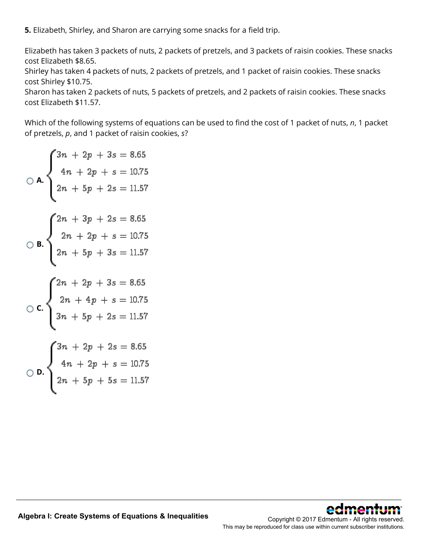**5.** Elizabeth, Shirley, and Sharon are carrying some snacks for a field trip.

Elizabeth has taken 3 packets of nuts, 2 packets of pretzels, and 3 packets of raisin cookies. These snacks cost Elizabeth \$8.65.

Shirley has taken 4 packets of nuts, 2 packets of pretzels, and 1 packet of raisin cookies. These snacks cost Shirley \$10.75.

Sharon has taken 2 packets of nuts, 5 packets of pretzels, and 2 packets of raisin cookies. These snacks cost Elizabeth \$11.57.

Which of the following systems of equations can be used to find the cost of 1 packet of nuts, *n*, 1 packet of pretzels, *p*, and 1 packet of raisin cookies, *s*?

\_\_\_\_\_\_\_\_\_\_\_\_\_\_\_\_\_\_\_\_\_\_\_\_\_\_\_\_\_\_\_\_\_\_\_\_\_\_\_\_\_\_\_\_\_\_\_\_\_\_\_\_\_\_\_\_\_\_\_\_\_\_\_\_\_\_\_\_\_\_\_\_\_\_\_\_\_\_\_\_\_\_\_\_\_\_\_\_\_\_\_\_\_\_\_\_\_\_\_\_\_\_\_\_\_\_\_\_\_\_\_\_

$$
\begin{cases}\n3n + 2p + 3s = 8.65 \\
4n + 2p + s = 10.75\n\end{cases}
$$
\n
$$
\begin{cases}\n2n + 5p + 2s = 11.57 \\
2n + 2p + s = 10.75\n\end{cases}
$$
\n
$$
\begin{cases}\n2n + 2p + s = 10.75 \\
2n + 5p + 3s = 11.57\n\end{cases}
$$
\n
$$
\begin{cases}\n2n + 2p + 3s = 8.65 \\
2n + 4p + s = 10.75\n\end{cases}
$$
\n
$$
\begin{cases}\n3n + 5p + 2s = 11.57 \\
4n + 2p + s = 10.75\n\end{cases}
$$
\n
$$
\begin{cases}\n3n + 2p + 2s = 8.65 \\
4n + 2p + s = 10.75\n\end{cases}
$$

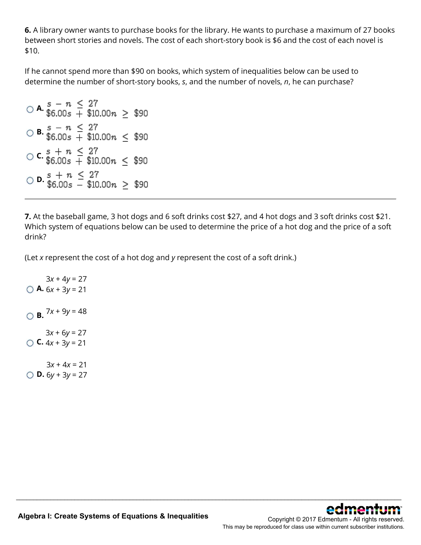**6.** A library owner wants to purchase books for the library. He wants to purchase a maximum of 27 books between short stories and novels. The cost of each short-story book is \$6 and the cost of each novel is \$10.

If he cannot spend more than \$90 on books, which system of inequalities below can be used to determine the number of short-story books, *s*, and the number of novels, *n*, he can purchase?

```
\bigcirc A. \frac{s}{6.00s} + \frac{27}{10.00n} \geq \frac{290}{10.00n}\bigcirc B. \frac{s}{6.00s} - n \leq 27<br>$90.00 \times \times $90.00 \times $90.00 \times $90.00 \times $90.00 \times $90.00 \times $90.00 \times $90.00 \times $90.00 \times $90.00 \times $90.00 \times $90.00 \times $90.00 \times 
C. s + n \leq 27<br>
0.6600s + 10.00n \leq 100\bigcirc D. \frac{s}{36.00s} - $10.00n \geq $90
```
**7.** At the baseball game, 3 hot dogs and 6 soft drinks cost \$27, and 4 hot dogs and 3 soft drinks cost \$21. Which system of equations below can be used to determine the price of a hot dog and the price of a soft drink?

\_\_\_\_\_\_\_\_\_\_\_\_\_\_\_\_\_\_\_\_\_\_\_\_\_\_\_\_\_\_\_\_\_\_\_\_\_\_\_\_\_\_\_\_\_\_\_\_\_\_\_\_\_\_\_\_\_\_\_\_\_\_\_\_\_\_\_\_\_\_\_\_\_\_\_\_\_\_\_\_\_\_\_\_\_\_\_\_\_\_\_\_\_\_\_\_\_\_\_\_\_\_\_\_\_\_\_\_\_\_\_\_

(Let *x* represent the cost of a hot dog and *y* represent the cost of a soft drink.)

**A.**  $6x + 3y = 21$  $3x + 4y = 27$  $\bigcirc$  **B.**  $7x + 9y = 48$ **C.**  $4x + 3y = 21$  $3x + 6y = 27$ **D.**  $6y + 3y = 27$  $3x + 4x = 21$ 

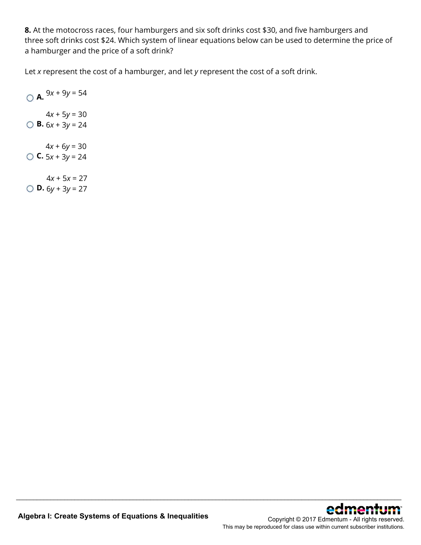**8.** At the motocross races, four hamburgers and six soft drinks cost \$30, and five hamburgers and three soft drinks cost \$24. Which system of linear equations below can be used to determine the price of a hamburger and the price of a soft drink?

\_\_\_\_\_\_\_\_\_\_\_\_\_\_\_\_\_\_\_\_\_\_\_\_\_\_\_\_\_\_\_\_\_\_\_\_\_\_\_\_\_\_\_\_\_\_\_\_\_\_\_\_\_\_\_\_\_\_\_\_\_\_\_\_\_\_\_\_\_\_\_\_\_\_\_\_\_\_\_\_\_\_\_\_\_\_\_\_\_\_\_\_\_\_\_\_\_\_\_\_\_\_\_\_\_\_\_\_\_\_\_\_

Let *x* represent the cost of a hamburger, and let *y* represent the cost of a soft drink.

 $\bigcirc$  **A.**  $9x + 9y = 54$ **B.**  $6x + 3y = 24$  $4x + 5y = 30$ **C.**  $5x + 3y = 24$  $4x + 6y = 30$ 

**D.**  $6y + 3y = 27$  $4x + 5x = 27$ 

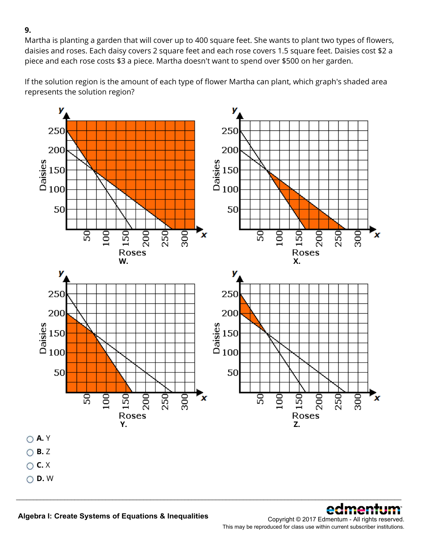Martha is planting a garden that will cover up to 400 square feet. She wants to plant two types of flowers, daisies and roses. Each daisy covers 2 square feet and each rose covers 1.5 square feet. Daisies cost \$2 a piece and each rose costs \$3 a piece. Martha doesn't want to spend over \$500 on her garden.

If the solution region is the amount of each type of flower Martha can plant, which graph's shaded area represents the solution region?



\_\_\_\_\_\_\_\_\_\_\_\_\_\_\_\_\_\_\_\_\_\_\_\_\_\_\_\_\_\_\_\_\_\_\_\_\_\_\_\_\_\_\_\_\_\_\_\_\_\_\_\_\_\_\_\_\_\_\_\_\_\_\_\_\_\_\_\_\_\_\_\_\_\_\_\_\_\_\_\_\_\_\_\_\_\_\_\_\_\_\_\_\_\_\_\_\_\_\_\_\_\_\_\_\_\_\_\_\_\_\_\_



Copyright © 2017 Edmentum - All rights reserved. This may be reproduced for class use within current subscriber institutions.

**9.**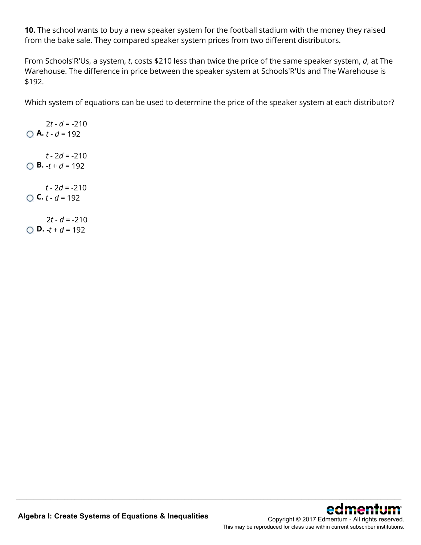**10.** The school wants to buy a new speaker system for the football stadium with the money they raised from the bake sale. They compared speaker system prices from two different distributors.

From Schools'R'Us, a system, *t*, costs \$210 less than twice the price of the same speaker system, *d*, at The Warehouse. The difference in price between the speaker system at Schools'R'Us and The Warehouse is \$192.

Which system of equations can be used to determine the price of the speaker system at each distributor?

\_\_\_\_\_\_\_\_\_\_\_\_\_\_\_\_\_\_\_\_\_\_\_\_\_\_\_\_\_\_\_\_\_\_\_\_\_\_\_\_\_\_\_\_\_\_\_\_\_\_\_\_\_\_\_\_\_\_\_\_\_\_\_\_\_\_\_\_\_\_\_\_\_\_\_\_\_\_\_\_\_\_\_\_\_\_\_\_\_\_\_\_\_\_\_\_\_\_\_\_\_\_\_\_\_\_\_\_\_\_\_\_

**A.** *t* - *d* = 192  $2t - d = -210$ **B.**  $-t + d = 192$ *t* - 2*d* = -210 **C.**  $t - d = 192$ *t* - 2*d* = -210 **D.**  $-t + d = 192$  $2t - d = -210$ 

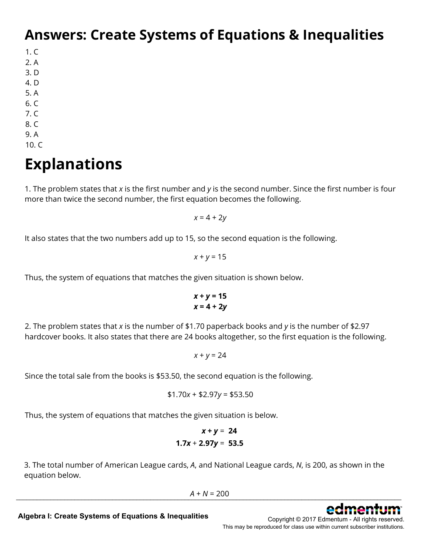### **Answers: Create Systems of Equations & Inequalities**

1. C

- 2. A
- 3. D
- 4. D
- 5. A
- 6. C
- 7. C
- 8. C
- 9. A
- 10. C

# **Explanations**

1. The problem states that *x* is the first number and *y* is the second number. Since the first number is four more than twice the second number, the first equation becomes the following.

*x* = 4 + 2*y*

It also states that the two numbers add up to 15, so the second equation is the following.

$$
x + y = 15
$$

Thus, the system of equations that matches the given situation is shown below.

$$
x + y = 15
$$

$$
x = 4 + 2y
$$

2. The problem states that *x* is the number of \$1.70 paperback books and *y* is the number of \$2.97 hardcover books. It also states that there are 24 books altogether, so the first equation is the following.

 $x + y = 24$ 

Since the total sale from the books is \$53.50, the second equation is the following.

$$
$1.70x + $2.97y = $53.50
$$

Thus, the system of equations that matches the given situation is below.

$$
x + y = 24
$$
  
1.7x + 2.97y = 53.5

3. The total number of American League cards, *A*, and National League cards, *N*, is 200, as shown in the equation below.

 $A + N = 200$  $A + N = 200$ 



**Algebra I: Create Systems of Equations & Inequalities**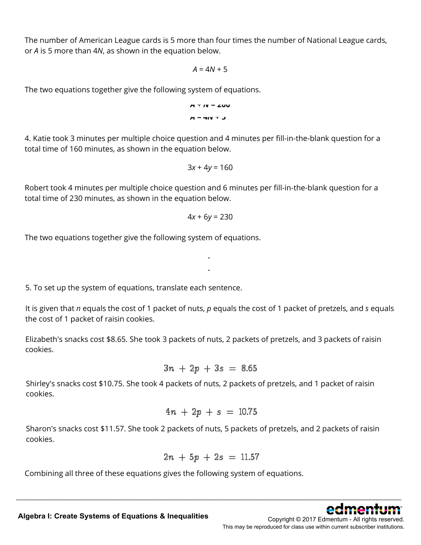The number of American League cards is 5 more than four times the number of National League cards, or *A* is 5 more than 4*N*, as shown in the equation below.

$$
A=4N+5
$$

The two equations together give the following system of equations.

$$
A T IV = 2UU
$$
  

$$
A = 4IV T J
$$

4. Katie took 3 minutes per multiple choice question and 4 minutes per fill-in-the-blank question for a total time of 160 minutes, as shown in the equation below.

$$
3x + 4y = 160
$$

Robert took 4 minutes per multiple choice question and 6 minutes per fill-in-the-blank question for a total time of 230 minutes, as shown in the equation below.

$$
4x + 6y = 230
$$

**3***x* **+ 4***y* **= 160 4***x* **+ 6***y* **= 230**

The two equations together give the following system of equations.

5. To set up the system of equations, translate each sentence.

It is given that *n* equals the cost of 1 packet of nuts, *p* equals the cost of 1 packet of pretzels, and *s* equals the cost of 1 packet of raisin cookies.

Elizabeth's snacks cost \$8.65. She took 3 packets of nuts, 2 packets of pretzels, and 3 packets of raisin cookies.

$$
3n + 2p + 3s = 8.65
$$

Shirley's snacks cost \$10.75. She took 4 packets of nuts, 2 packets of pretzels, and 1 packet of raisin cookies.

$$
4n + 2p + s = 10.75
$$

Sharon's snacks cost \$11.57. She took 2 packets of nuts, 5 packets of pretzels, and 2 packets of raisin cookies.

$$
2n + 5p + 2s = 11.57
$$

\_\_\_\_\_\_\_\_\_\_\_\_\_\_\_\_\_\_\_\_\_\_\_\_\_\_\_\_\_\_\_\_\_\_\_\_\_\_\_\_\_\_\_\_\_\_\_\_\_\_\_\_\_\_\_\_\_\_\_\_\_\_\_\_\_\_\_\_\_\_\_\_\_\_\_\_\_\_\_\_\_\_\_\_\_\_\_\_\_\_\_\_\_\_\_\_\_\_\_\_\_\_\_\_\_\_\_\_\_\_\_\_

Combining all three of these equations gives the following system of equations.



**Algebra I: Create Systems of Equations & Inequalities**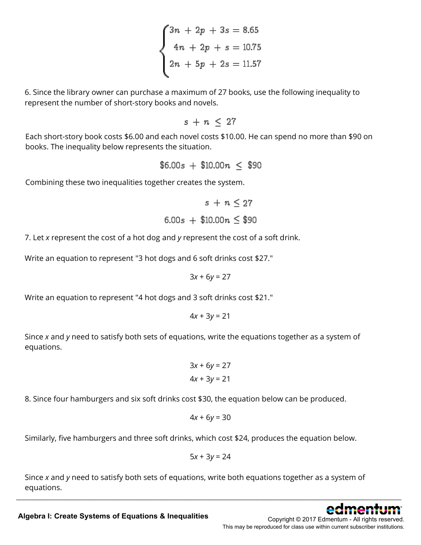$$
\begin{cases}\n3n + 2p + 3s = 8.65 \\
4n + 2p + s = 10.75 \\
2n + 5p + 2s = 11.57\n\end{cases}
$$

6. Since the library owner can purchase a maximum of 27 books, use the following inequality to represent the number of short-story books and novels.

 $s + n \leq 27$ 

Each short-story book costs \$6.00 and each novel costs \$10.00. He can spend no more than \$90 on books. The inequality below represents the situation.

$$
$6.00s + $10.00n \le $90
$$

Combining these two inequalities together creates the system.

$$
s + n \le 27
$$
  
6.00s + \$10.00n \le \$90

7. Let *x* represent the cost of a hot dog and *y* represent the cost of a soft drink.

Write an equation to represent "3 hot dogs and 6 soft drinks cost \$27."

$$
3x + 6y = 27
$$

Write an equation to represent "4 hot dogs and 3 soft drinks cost \$21."

 $4x + 3y = 21$ 

Since *x* and *y* need to satisfy both sets of equations, write the equations together as a system of equations.

$$
3x + 6y = 27
$$
  

$$
4x + 3y = 21
$$

8. Since four hamburgers and six soft drinks cost \$30, the equation below can be produced.

$$
4x + 6y = 30
$$

Similarly, five hamburgers and three soft drinks, which cost \$24, produces the equation below.

$$
5x + 3y = 24
$$

Since *x* and *y* need to satisfy both sets of equations, write both equations together as a system of equations.



**Algebra I: Create Systems of Equations & Inequalities**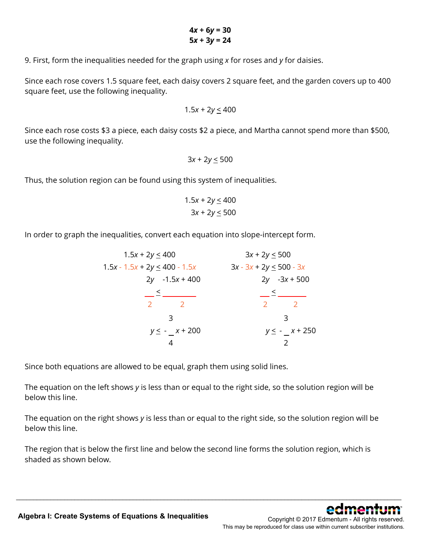9. First, form the inequalities needed for the graph using *x* for roses and *y* for daisies.

Since each rose covers 1.5 square feet, each daisy covers 2 square feet, and the garden covers up to 400 square feet, use the following inequality.

$$
1.5x + 2y \leq 400
$$

Since each rose costs \$3 a piece, each daisy costs \$2 a piece, and Martha cannot spend more than \$500, use the following inequality.

$$
3x + 2y \le 500
$$

Thus, the solution region can be found using this system of inequalities.

$$
1.5x + 2y \le 400
$$

$$
3x + 2y \le 500
$$

In order to graph the inequalities, convert each equation into slope-intercept form.

$$
1.5x + 2y \le 400
$$
  
\n
$$
1.5x - 1.5x + 2y \le 400 - 1.5x
$$
  
\n
$$
2y - 1.5x + 400
$$
  
\n
$$
2y - 2
$$
  
\n
$$
3x - 3x + 2y \le 500 - 3x
$$
  
\n
$$
2y - 3x + 500
$$
  
\n
$$
2y - 3x + 500
$$
  
\n
$$
2y - 2
$$
  
\n
$$
2
$$
  
\n
$$
3x - 3x + 2y \le 500 - 3x
$$
  
\n
$$
2y - 3x + 500
$$
  
\n
$$
2
$$
  
\n
$$
2
$$
  
\n
$$
2
$$
  
\n
$$
2
$$
  
\n
$$
2
$$
  
\n
$$
2
$$
  
\n
$$
2
$$
  
\n
$$
2
$$
  
\n
$$
2
$$
  
\n
$$
2
$$
  
\n
$$
2
$$
  
\n
$$
2
$$
  
\n
$$
2
$$
  
\n
$$
2
$$
  
\n
$$
2
$$
  
\n
$$
2
$$
  
\n
$$
2
$$
  
\n
$$
2
$$
  
\n
$$
2
$$
  
\n
$$
2
$$
  
\n
$$
2
$$
  
\n
$$
2
$$
  
\n
$$
2
$$
  
\n
$$
2
$$
  
\n
$$
2
$$
  
\n
$$
2
$$
  
\n
$$
2
$$
  
\n
$$
2
$$
  
\n
$$
2
$$
  
\n
$$
2
$$
  
\n
$$
2
$$
  
\n
$$
2
$$
  
\n
$$
2
$$
  
\n
$$
2
$$
  
\n
$$
2
$$
  
\n
$$
2
$$
  
\n
$$
2
$$
  
\n
$$
2
$$
  
\n

Since both equations are allowed to be equal, graph them using solid lines.

The equation on the left shows *y* is less than or equal to the right side, so the solution region will be below this line.

The equation on the right shows *y* is less than or equal to the right side, so the solution region will be below this line.

The region that is below the first line and below the second line forms the solution region, which is shaded as shown below.

\_\_\_\_\_\_\_\_\_\_\_\_\_\_\_\_\_\_\_\_\_\_\_\_\_\_\_\_\_\_\_\_\_\_\_\_\_\_\_\_\_\_\_\_\_\_\_\_\_\_\_\_\_\_\_\_\_\_\_\_\_\_\_\_\_\_\_\_\_\_\_\_\_\_\_\_\_\_\_\_\_\_\_\_\_\_\_\_\_\_\_\_\_\_\_\_\_\_\_\_\_\_\_\_\_\_\_\_\_\_\_\_

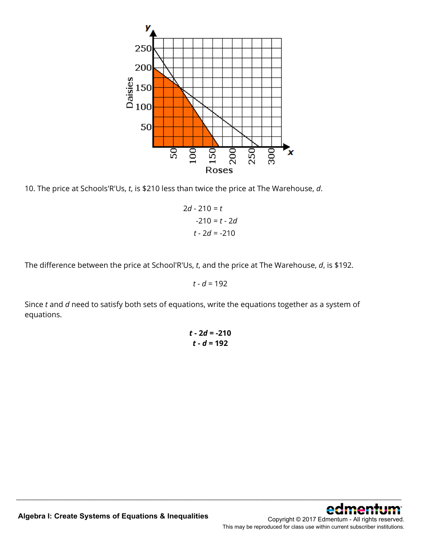

10. The price at Schools'R'Us, *t*, is \$210 less than twice the price at The Warehouse, *d*.

$$
2d - 210 = t
$$
  

$$
-210 = t - 2d
$$
  

$$
t - 2d = -210
$$

The difference between the price at School'R'Us, *t*, and the price at The Warehouse, *d*, is \$192.

 $t - d = 192$ 

Since *t* and *d* need to satisfy both sets of equations, write the equations together as a system of equations.

> *t* **- 2***d* **= -210** *t* **-** *d* **= 192**

\_\_\_\_\_\_\_\_\_\_\_\_\_\_\_\_\_\_\_\_\_\_\_\_\_\_\_\_\_\_\_\_\_\_\_\_\_\_\_\_\_\_\_\_\_\_\_\_\_\_\_\_\_\_\_\_\_\_\_\_\_\_\_\_\_\_\_\_\_\_\_\_\_\_\_\_\_\_\_\_\_\_\_\_\_\_\_\_\_\_\_\_\_\_\_\_\_\_\_\_\_\_\_\_\_\_\_\_\_\_\_\_

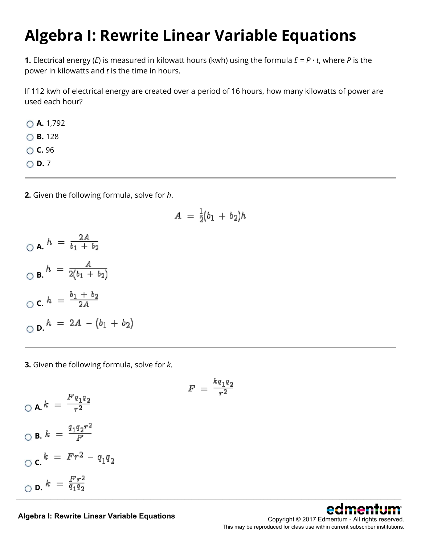# **Algebra I: Rewrite Linear Variable Equations**

**1.** Electrical energy (*E*) is measured in kilowatt hours (kwh) using the formula  $E = P \cdot t$ , where *P* is the power in kilowatts and *t* is the time in hours.

If 112 kwh of electrical energy are created over a period of 16 hours, how many kilowatts of power are used each hour?

**A.** 1,792

**B.** 128

**C.** 96

 $\bigcirc$  **D.** 7

**2.** Given the following formula, solve for *h*.

$$
A = \frac{1}{2}(b_1 + b_2)h
$$

 $A. h = \frac{2A}{b_1 + b_2}$  $\sum_{b} h = \frac{A}{2(b_1 + b_2)}$ **C.**  $h = \frac{b_1 + b_2}{2A}$  $\bigcirc$  **D.**  $h = 2A - (b_1 + b_2)$ 

**3.** Given the following formula, solve for *k*.

$$
\bigcirc \mathbf{A}.k = \frac{Fq_1q_2}{r^2}
$$

$$
\bigcirc \mathbf{B}.k = \frac{q_1q_2r^2}{F}
$$

$$
\bigcirc \mathbf{C}.k = Fr^2 - q_1q_2
$$

$$
\bigcirc \mathbf{D}.k = \frac{Fr^2}{q_1q_2}
$$

 $F = \frac{k q_1 q_2}{r^2}$ 



**Algebra I: Rewrite Linear Variable Equations**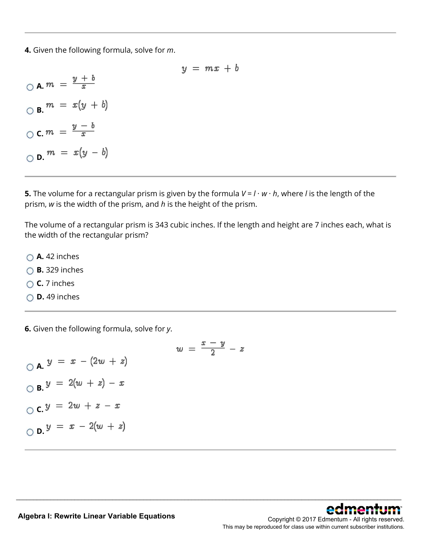**4.** Given the following formula, solve for *m*.

 $y = mx + b$  $\bigcirc$  **A.**  $m = \frac{y+b}{x}$  $\bigcirc$  **B.**  $m = x(y + b)$  $\bigcirc$  **c.**  $m = \frac{y-b}{x}$  $\bigcirc$  **D.**  $m = x(y - b)$ 

**5.** The volume for a rectangular prism is given by the formula  $V = I \cdot w \cdot h$ , where *l* is the length of the prism, *w* is the width of the prism, and *h* is the height of the prism.

The volume of a rectangular prism is 343 cubic inches. If the length and height are 7 inches each, what is the width of the rectangular prism?

\_\_\_\_\_\_\_\_\_\_\_\_\_\_\_\_\_\_\_\_\_\_\_\_\_\_\_\_\_\_\_\_\_\_\_\_\_\_\_\_\_\_\_\_\_\_\_\_\_\_\_\_\_\_\_\_\_\_\_\_\_\_\_\_\_\_\_\_\_\_\_\_\_\_\_\_\_\_\_\_\_\_\_\_\_\_\_\_\_\_\_\_\_\_\_\_\_\_\_\_\_\_\_\_\_\_\_\_\_\_\_\_

- **A.** 42 inches
- **B.** 329 inches
- **C.** 7 inches
- **D.** 49 inches

**6.** Given the following formula, solve for *y*.

$$
w = \frac{x - y}{2} - z
$$
  
\n
$$
\bigcirc A. y = x - (2w + z)
$$
  
\n
$$
\bigcirc B. y = 2(w + z) - x
$$
  
\n
$$
\bigcirc C. y = 2w + z - x
$$
  
\n
$$
\bigcirc D. y = x - 2(w + z)
$$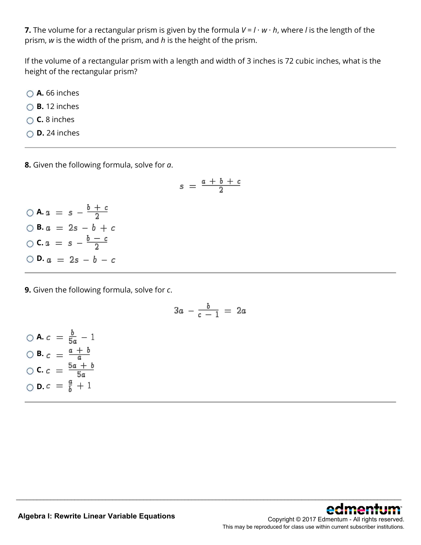**7.** The volume for a rectangular prism is given by the formula  $V = I \cdot w \cdot h$ , where *l* is the length of the prism, *w* is the width of the prism, and *h* is the height of the prism.

If the volume of a rectangular prism with a length and width of 3 inches is 72 cubic inches, what is the height of the rectangular prism?

- **A.** 66 inches
- **B.** 12 inches
- **C.** 8 inches
- **D.** 24 inches

**8.** Given the following formula, solve for *a*.

$$
s\ =\ \frac{\alpha\ +\ b\ +\ c}{2}
$$

 $\bigcirc$  **A.**  $a = s - \frac{b+c}{2}$  $\bigcirc$  **B.**  $a = 2s - b + c$  $\bigcirc$  **C.**  $a = s - \frac{b - c}{2}$  $\bigcirc$  **D.**  $a = 2s - b - c$ 

**9.** Given the following formula, solve for *c*.

$$
3a - \frac{b}{c-1} = 2a
$$

\_\_\_\_\_\_\_\_\_\_\_\_\_\_\_\_\_\_\_\_\_\_\_\_\_\_\_\_\_\_\_\_\_\_\_\_\_\_\_\_\_\_\_\_\_\_\_\_\_\_\_\_\_\_\_\_\_\_\_\_\_\_\_\_\_\_\_\_\_\_\_\_\_\_\_\_\_\_\_\_\_\_\_\_\_\_\_\_\_\_\_\_\_\_\_\_\_\_\_\_\_\_\_\_\_\_\_\_\_\_\_\_

 $\bigcirc$  **A.**  $c = \frac{b}{5a} - 1$  $\bigcirc$  **B.**  $c = \frac{a + b}{a}$  $\bigcirc$  **C.**  $c = \frac{5a + b}{5a}$  $\bigcirc$  **D.**  $c = \frac{a}{b} + 1$ 

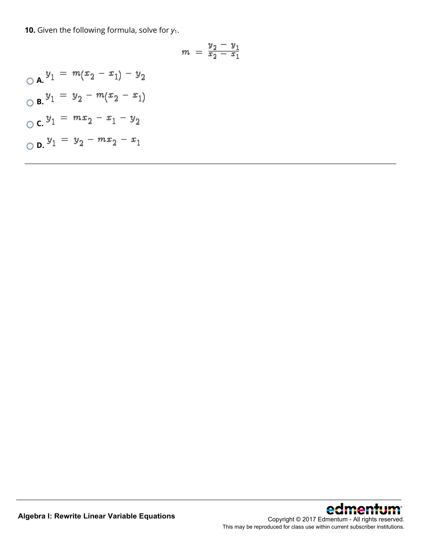**10.** Given the following formula, solve for  $y_1$ .

$$
m = \frac{y_2 - y_1}{x_2 - x_1}
$$

\_\_\_\_\_\_\_\_\_\_\_\_\_\_\_\_\_\_\_\_\_\_\_\_\_\_\_\_\_\_\_\_\_\_\_\_\_\_\_\_\_\_\_\_\_\_\_\_\_\_\_\_\_\_\_\_\_\_\_\_\_\_\_\_\_\_\_\_\_\_\_\_\_\_\_\_\_\_\_\_\_\_\_\_\_\_\_\_\_\_\_\_\_\_\_\_\_\_\_\_\_\_\_\_\_\_\_\_\_\_\_\_

$$
\bigcirc \mathbf{A} \cdot \mathbf{y}_1 = m(x_2 - x_1) - y_2
$$
  

$$
\bigcirc \mathbf{B} \cdot \mathbf{y}_1 = y_2 - m(x_2 - x_1)
$$
  

$$
\bigcirc \mathbf{C} \cdot \mathbf{y}_1 = mx_2 - x_1 - y_2
$$
  

$$
\bigcirc \mathbf{D} \cdot \mathbf{y}_1 = y_2 - mx_2 - x_1
$$

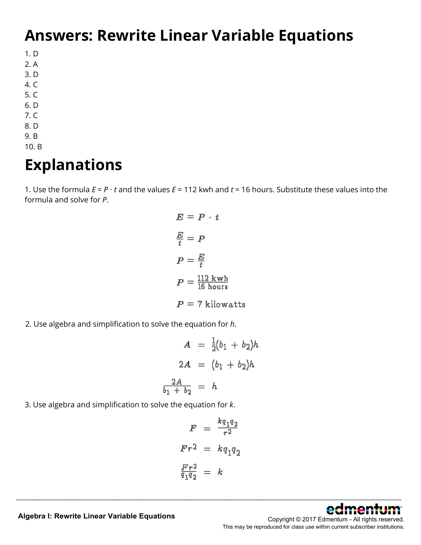### **Answers: Rewrite Linear Variable Equations**

- 1. D
- 2. A
- 3. D
- 4. C
- 5. C
- 6. D 7. C
- 
- 8. D 9. B
- 10. B

### **Explanations**

1. Use the formula  $E = P \cdot t$  and the values  $E = 112$  kwh and  $t = 16$  hours. Substitute these values into the formula and solve for *P*.

$$
E = P \cdot t
$$
  

$$
\frac{E}{t} = P
$$
  

$$
P = \frac{E}{t}
$$
  

$$
P = \frac{112 \text{ kwh}}{16 \text{ hours}}
$$
  

$$
P = 7 \text{ kilowatts}
$$

2. Use algebra and simplification to solve the equation for *h*.

$$
A = \frac{1}{2}(b_1 + b_2)h
$$

$$
2A = (b_1 + b_2)h
$$

$$
\frac{2A}{b_1 + b_2} = h
$$

3. Use algebra and simplification to solve the equation for *k*.

$$
F = \frac{kq_1q_2}{r^2}
$$

$$
Fr^2 = kq_1q_2
$$

$$
\frac{Fr^2}{q_1q_2} = k
$$

\_\_\_\_\_\_\_\_\_\_\_\_\_\_\_\_\_\_\_\_\_\_\_\_\_\_\_\_\_\_\_\_\_\_\_\_\_\_\_\_\_\_\_\_\_\_\_\_\_\_\_\_\_\_\_\_\_\_\_\_\_\_\_\_\_\_\_\_\_\_\_\_\_\_\_\_\_\_\_\_\_\_\_\_\_\_\_\_\_\_\_\_\_\_\_\_\_\_\_\_\_\_\_\_\_\_\_\_\_\_\_\_



**Algebra I: Rewrite Linear Variable Equations**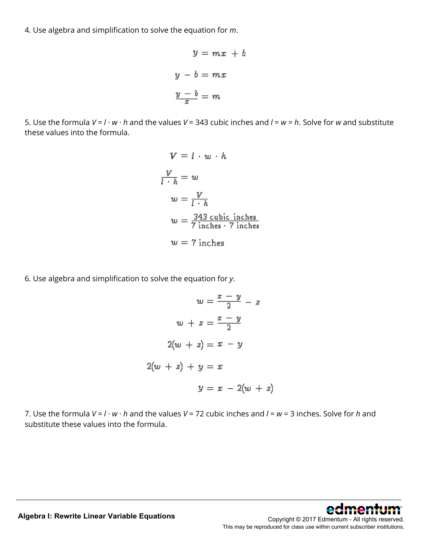4. Use algebra and simplification to solve the equation for *m*.

$$
y = mx + v
$$

$$
y - b = mx
$$

$$
\frac{y - b}{x} = m
$$

Ъ

5. Use the formula *V* = *l* · *w* · *h* and the values *V* = 343 cubic inches and *l* = *w* = *h*. Solve for *w* and substitute these values into the formula.

$$
V = l \cdot w \cdot h
$$
  
\n
$$
\frac{V}{l \cdot h} = w
$$
  
\n
$$
w = \frac{V}{l \cdot h}
$$
  
\n
$$
w = \frac{343 \text{ cubic inches}}{7 \text{ inches} \cdot 7 \text{ inches}}
$$
  
\n
$$
w = 7 \text{ inches}
$$

6. Use algebra and simplification to solve the equation for *y*.

$$
w = \frac{x - y}{2} - z
$$

$$
w + z = \frac{x - y}{2}
$$

$$
2(w + z) = x - y
$$

$$
2(w + z) + y = x
$$

$$
y = x - 2(w + z)
$$

7. Use the formula *V* = *l* · *w* · *h* and the values *V* = 72 cubic inches and *l* = *w* = 3 inches. Solve for *h* and substitute these values into the formula.

\_\_\_\_\_\_\_\_\_\_\_\_\_\_\_\_\_\_\_\_\_\_\_\_\_\_\_\_\_\_\_\_\_\_\_\_\_\_\_\_\_\_\_\_\_\_\_\_\_\_\_\_\_\_\_\_\_\_\_\_\_\_\_\_\_\_\_\_\_\_\_\_\_\_\_\_\_\_\_\_\_\_\_\_\_\_\_\_\_\_\_\_\_\_\_\_\_\_\_\_\_\_\_\_\_\_\_\_\_\_\_\_

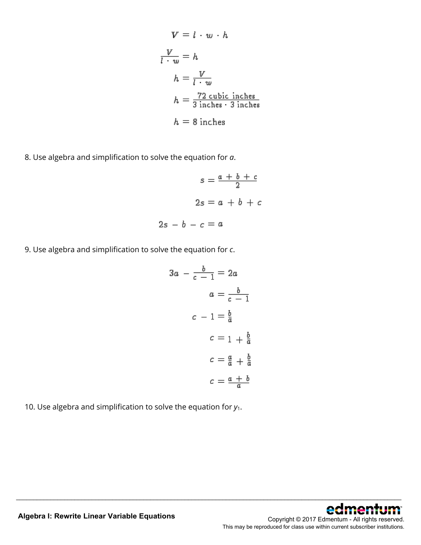$$
V = l \cdot w \cdot h
$$
  
\n
$$
\frac{V}{l \cdot w} = h
$$
  
\n
$$
h = \frac{V}{l \cdot w}
$$
  
\n
$$
h = \frac{72 \text{ cubic inches}}{3 \text{ inches} \cdot 3 \text{ inches}}
$$
  
\n
$$
h = 8 \text{ inches}
$$

8. Use algebra and simplification to solve the equation for *a*.

$$
s = \frac{a+b+c}{2}
$$

$$
2s = a+b+c
$$

$$
2s - b - c = a
$$

9. Use algebra and simplification to solve the equation for *c*.

$$
3a - \frac{b}{c - 1} = 2a
$$

$$
a = \frac{b}{c - 1}
$$

$$
c - 1 = \frac{b}{a}
$$

$$
c = 1 + \frac{b}{a}
$$

$$
c = \frac{a}{a} + \frac{b}{a}
$$

$$
c = \frac{a + b}{a}
$$

\_\_\_\_\_\_\_\_\_\_\_\_\_\_\_\_\_\_\_\_\_\_\_\_\_\_\_\_\_\_\_\_\_\_\_\_\_\_\_\_\_\_\_\_\_\_\_\_\_\_\_\_\_\_\_\_\_\_\_\_\_\_\_\_\_\_\_\_\_\_\_\_\_\_\_\_\_\_\_\_\_\_\_\_\_\_\_\_\_\_\_\_\_\_\_\_\_\_\_\_\_\_\_\_\_\_\_\_\_\_\_\_

10. Use algebra and simplification to solve the equation for *y*1.



**Algebra I: Rewrite Linear Variable Equations**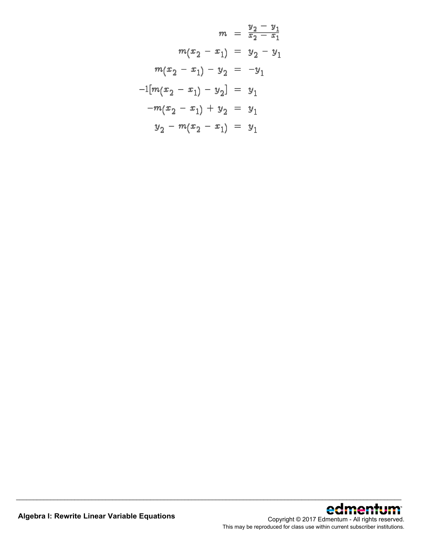$$
m = \frac{y_2 - y_1}{x_2 - x_1}
$$
  
\n
$$
m(x_2 - x_1) = y_2 - y_1
$$
  
\n
$$
m(x_2 - x_1) - y_2 = -y_1
$$
  
\n
$$
-1[m(x_2 - x_1) - y_2] = y_1
$$
  
\n
$$
-m(x_2 - x_1) + y_2 = y_1
$$
  
\n
$$
y_2 - m(x_2 - x_1) = y_1
$$

\_\_\_\_\_\_\_\_\_\_\_\_\_\_\_\_\_\_\_\_\_\_\_\_\_\_\_\_\_\_\_\_\_\_\_\_\_\_\_\_\_\_\_\_\_\_\_\_\_\_\_\_\_\_\_\_\_\_\_\_\_\_\_\_\_\_\_\_\_\_\_\_\_\_\_\_\_\_\_\_\_\_\_\_\_\_\_\_\_\_\_\_\_\_\_\_\_\_\_\_\_\_\_\_\_\_\_\_\_\_\_\_

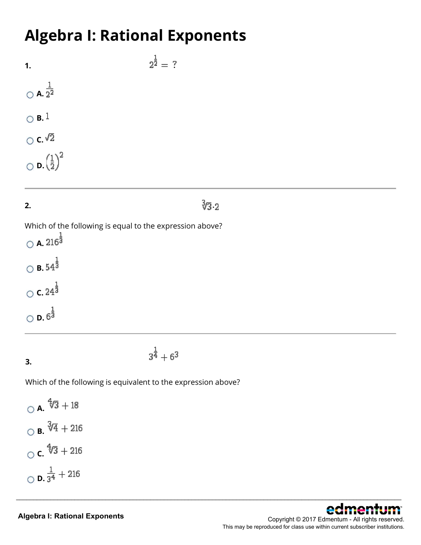### **Algebra I: Rational Exponents**

 $2^{\frac{1}{2}} = ?$ **1.**  $\frac{1}{2^2}$  $\odot$  **B.**  $1$  $\circ$  c.  $\sqrt{2}$  $_{\bigcirc}$   $\mathsf{d.}{\left(\frac{1}{2}\right)}^2$ 

### **2.**

**3.**

### $\sqrt[3]{3}$  2

\_\_\_\_\_\_\_\_\_\_\_\_\_\_\_\_\_\_\_\_\_\_\_\_\_\_\_\_\_\_\_\_\_\_\_\_\_\_\_\_\_\_\_\_\_\_\_\_\_\_\_\_\_\_\_\_\_\_\_\_\_\_\_\_\_\_\_\_\_\_\_\_\_\_\_\_\_\_\_\_\_\_\_\_\_\_\_\_\_\_\_\_\_\_\_\_\_\_\_\_\_\_\_\_\_\_\_\_\_\_\_\_

Which of the following is equal to the expression above?

 $\bigcirc$  **A.** 216<sup> $\frac{1}{3}$ </sup>  $\bigcirc$  **B.**  $54^{\frac{1}{3}}$  $\circ$  **c.**  $24^{\frac{1}{3}}$  $\bigcirc$  **D.**  $6^{\frac{1}{3}}$ 

Which of the following is equivalent to the expression above?

 $3^{\frac{1}{4}} + 6^3$ 

\n- ○ A. 
$$
\sqrt[4]{3} + 18
$$
\n- ○ B.  $\sqrt[3]{4} + 216$
\n- ○ C.  $\sqrt[4]{3} + 216$
\n- ○ D.  $\frac{1}{3^4} + 216$
\n

#### **Algebra I: Rational Exponents**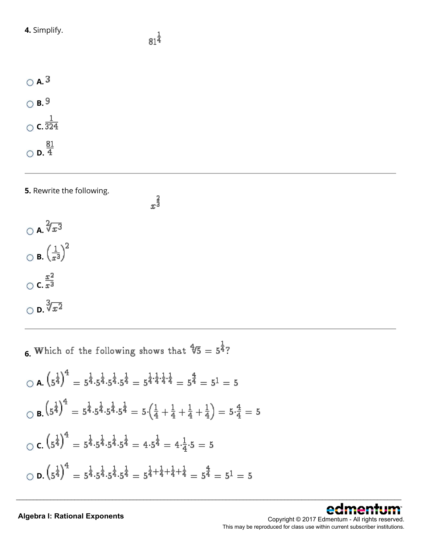**4.** Simplify.

 $x^{\frac{2}{3}}$ 

| $\cap$ A. $^3$  |                           |
|-----------------|---------------------------|
| $\circ$ B. $^9$ |                           |
| $\bigcap$       | <b>c.</b> $\frac{1}{324}$ |
|                 | $\frac{81}{4}$            |

### **5.** Rewrite the following.



**6.** Which of the following shows that  $\sqrt[4]{5} = 5^{\frac{1}{4}}$ ?

$$
\begin{aligned}\n\bigcirc \mathbf{A} \cdot \left(5^{\frac{1}{4}}\right)^4 &= 5^{\frac{1}{4}} \cdot 5^{\frac{1}{4}} \cdot 5^{\frac{1}{4}} \cdot 5^{\frac{1}{4}} = 5^{\frac{1}{4} \cdot \frac{1}{4} \cdot \frac{1}{4}} = 5^{\frac{4}{4}} = 5^1 = 5 \\
\bigcirc \mathbf{B} \cdot \left(5^{\frac{1}{4}}\right)^4 &= 5^{\frac{1}{4}} \cdot 5^{\frac{1}{4}} \cdot 5^{\frac{1}{4}} \cdot 5^{\frac{1}{4}} = 5 \cdot \left(\frac{1}{4} + \frac{1}{4} + \frac{1}{4} + \frac{1}{4}\right) = 5 \cdot \frac{4}{4} = 5 \\
\bigcirc \mathbf{C} \cdot \left(5^{\frac{1}{4}}\right)^4 &= 5^{\frac{1}{4}} \cdot 5^{\frac{1}{4}} \cdot 5^{\frac{1}{4}} \cdot 5^{\frac{1}{4}} = 4 \cdot 5^{\frac{1}{4}} = 4 \cdot \frac{1}{4} \cdot 5 = 5 \\
\bigcirc \mathbf{D} \cdot \left(5^{\frac{1}{4}}\right)^4 &= 5^{\frac{1}{4}} \cdot 5^{\frac{1}{4}} \cdot 5^{\frac{1}{4}} \cdot 5^{\frac{1}{4}} = 5^{\frac{1}{4} + \frac{1}{4} + \frac{1}{4} + \frac{1}{4}} = 5^{\frac{4}{4}} = 5^1 = 5\n\end{aligned}
$$

\_\_\_\_\_\_\_\_\_\_\_\_\_\_\_\_\_\_\_\_\_\_\_\_\_\_\_\_\_\_\_\_\_\_\_\_\_\_\_\_\_\_\_\_\_\_\_\_\_\_\_\_\_\_\_\_\_\_\_\_\_\_\_\_\_\_\_\_\_\_\_\_\_\_\_\_\_\_\_\_\_\_\_\_\_\_\_\_\_\_\_\_\_\_\_\_\_\_\_\_\_\_\_\_\_\_\_\_\_\_\_\_



#### **Algebra I: Rational Exponents**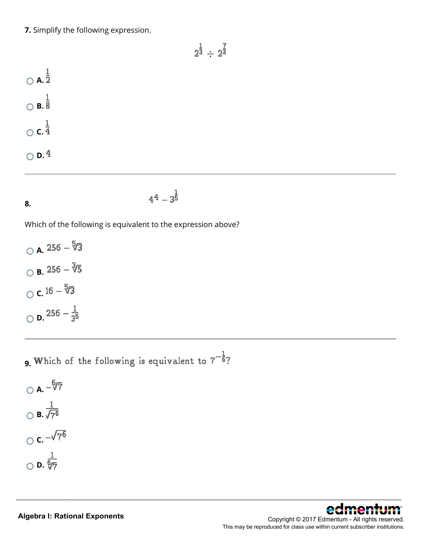**7.** Simplify the following expression.

$$
2^{\frac{1}{3}}\div 2^{\frac{7}{3}}
$$

\_\_\_\_\_\_\_\_\_\_\_\_\_\_\_\_\_\_\_\_\_\_\_\_\_\_\_\_\_\_\_\_\_\_\_\_\_\_\_\_\_\_\_\_\_\_\_\_\_\_\_\_\_\_\_\_\_\_\_\_\_\_\_\_\_\_\_\_\_\_\_\_\_\_\_\_\_\_\_\_\_\_\_\_\_\_\_\_\_\_\_\_\_\_\_\_\_\_\_\_\_\_\_\_\_\_\_\_\_\_\_\_

 $\bigcirc$  **A.**  $\frac{1}{2}$  $\bigcirc$  **B.**  $\frac{1}{8}$  $\circ$  **c.**  $\frac{1}{4}$  $\circ$  **D.**  $4$ 

$$
f_{\rm{max}}
$$

**8.**

$$
4^4-3^{\textstyle{\frac{1}{5}}}
$$

Which of the following is equivalent to the expression above?

 $\circ$  **A.** 256 -  $\sqrt[5]{3}$  $\circ$  **B.** 256 -  $\sqrt[3]{5}$  $\circ$  **c.**  $16 - \sqrt[5]{3}$  $\bigcirc$  **D.**  $256 - \frac{1}{3^5}$ 

**9.** Which of the following is equivalent to  $7^{-\frac{1}{6}}$ ?

$$
\bigcirc \mathbf{A}.\frac{\sqrt[6]{7}}{\sqrt[6]{9}} \\
\bigcirc \mathbf{B}.\frac{1}{\sqrt[6]{7^6}} \\
\bigcirc \mathbf{C}.\frac{\sqrt[1]{7}}{\sqrt[6]{7}} \\
\bigcirc \mathbf{D}.\frac{1}{\sqrt[6]{7}}
$$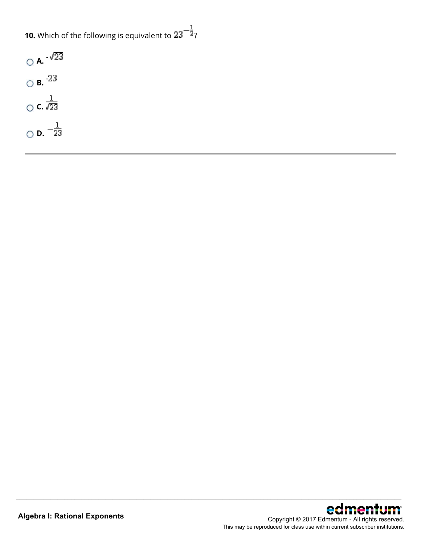**10.** Which of the following is equivalent to  $23^{-\frac{1}{2}}$ ?

| $\circ$ A. $\sqrt{23}$    |
|---------------------------|
| $\circ$ B. $^{23}$        |
| $\frac{1}{\sqrt{23}}$     |
| <b>D.</b> $-\frac{1}{23}$ |



\_\_\_\_\_\_\_\_\_\_\_\_\_\_\_\_\_\_\_\_\_\_\_\_\_\_\_\_\_\_\_\_\_\_\_\_\_\_\_\_\_\_\_\_\_\_\_\_\_\_\_\_\_\_\_\_\_\_\_\_\_\_\_\_\_\_\_\_\_\_\_\_\_\_\_\_\_\_\_\_\_\_\_\_\_\_\_\_\_\_\_\_\_\_\_\_\_\_\_\_\_\_\_\_\_\_\_\_\_\_\_\_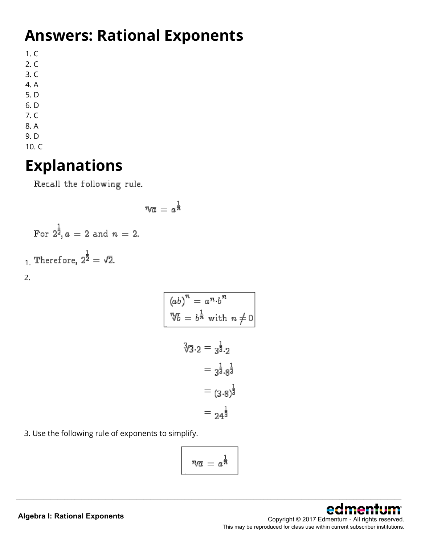# **Answers: Rational Exponents**

1. C

- 2. C
- 3. C
- 4. A 5. D
- 6. D
- 7. C
- 8. A
- 9. D
- 10. C

### **Explanations**

Recall the following rule.

$$
\eta \overline{a} = a^{\frac{1}{\overline{n}}}
$$
  
For  $2^{\frac{1}{2}}$ ,  $a = 2$  and  $n = 2$ .  
  
1. Therefore,  $2^{\frac{1}{2}} = \sqrt{2}$ .  
  
2.

$$
(ab)^n = a^n \cdot b^n
$$
  
\n
$$
^n\sqrt{b} = b^{\frac{1}{n}} \text{ with } n \neq 0
$$
  
\n
$$
^3\sqrt{3} \cdot 2 = 3^{\frac{1}{3}} \cdot 2
$$
  
\n
$$
= 3^{\frac{1}{3}} \cdot 8^{\frac{1}{3}}
$$
  
\n
$$
= (3 \cdot 8)^{\frac{1}{3}}
$$
  
\n
$$
= 24^{\frac{1}{3}}
$$

3. Use the following rule of exponents to simplify.

$$
\boxed{\quad \eta_{\overline{a}} = a^{\frac{1}{\overline{n}}}}
$$

\_\_\_\_\_\_\_\_\_\_\_\_\_\_\_\_\_\_\_\_\_\_\_\_\_\_\_\_\_\_\_\_\_\_\_\_\_\_\_\_\_\_\_\_\_\_\_\_\_\_\_\_\_\_\_\_\_\_\_\_\_\_\_\_\_\_\_\_\_\_\_\_\_\_\_\_\_\_\_\_\_\_\_\_\_\_\_\_\_\_\_\_\_\_\_\_\_\_\_\_\_\_\_\_\_\_\_\_\_\_\_\_



### **Algebra I: Rational Exponents**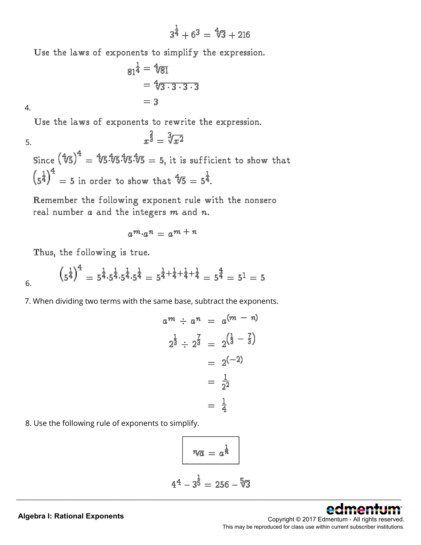$$
3^{\tfrac{1}{4}}+6^3 = \sqrt[4]{3}+216
$$

Use the laws of exponents to simplify the expression.

$$
81^{\frac{1}{4}} = 4/81
$$
  
= 4/3 \cdot 3 \cdot 3 \cdot 3  
= 3

4.

Use the laws of exponents to rewrite the expression.

5.

Since  $\left(4/5\right)^4 = 4/5.4/5.4/5 = 5$ , it is sufficient to show that  $\left(s^{\frac{1}{4}}\right)^4 = 5$  in order to show that  $\sqrt[4]{5} = 5^{\frac{1}{4}}$ .

 $x^{\frac{2}{3}} = \sqrt[3]{x^2}$ 

Remember the following exponent rule with the nonzero real number  $a$  and the integers  $m$  and  $n$ .

$$
a^m \cdot a^n = a^m + n
$$

Thus, the following is true.

$$
\left(5^{\frac{1}{4}}\right)^4 = 5^{\frac{1}{4}} \cdot 5^{\frac{1}{4}} \cdot 5^{\frac{1}{4}} \cdot 5^{\frac{1}{4}} = 5^{\frac{1}{4} + \frac{1}{4} + \frac{1}{4} + \frac{1}{4}} = 5^{\frac{4}{4}} = 5^1 = 5
$$

7. When dividing two terms with the same base, subtract the exponents.

$$
a^{m} \div a^{n} = a^{(m - n)}
$$
  

$$
2^{\frac{1}{3}} \div 2^{\frac{7}{3}} = 2^{\left(\frac{1}{3} - \frac{7}{3}\right)}
$$
  

$$
= 2^{(-2)}
$$
  

$$
= \frac{1}{2^{2}}
$$
  

$$
= \frac{1}{4}
$$

8. Use the following rule of exponents to simplify.

$$
\sqrt{n\alpha} = a^{\frac{1}{n}}
$$

$$
4^{\frac{1}{4}} - 3^{\frac{1}{5}} = 256 - \sqrt[5]{3}
$$



### **Algebra I: Rational Exponents**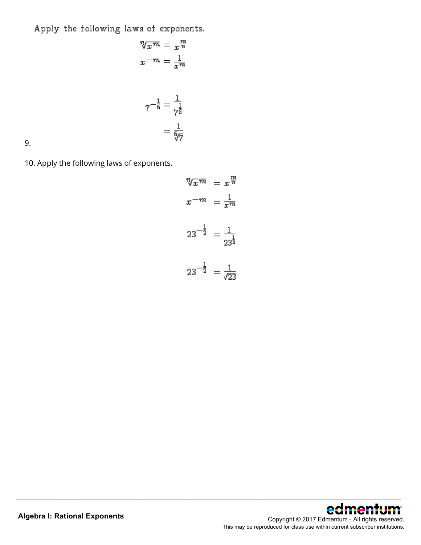Apply the following laws of exponents.

$$
\sqrt[n]{x^m} = x^{\frac{m}{n}}
$$

$$
x^{-m} = \frac{1}{x^m}
$$

$$
7^{-\frac{1}{6}} = \frac{1}{7^{\frac{1}{6}}}
$$

$$
= \frac{1}{6\sqrt{7}}
$$

9.

10. Apply the following laws of exponents.

$$
\sqrt[n]{x^m} = x^{\frac{m}{n}}
$$

$$
x^{-m} = \frac{1}{x^m}
$$

$$
23^{-\frac{1}{2}} = \frac{1}{23^{\frac{1}{2}}}
$$

$$
23^{-\frac{1}{2}} = \frac{1}{\sqrt{23}}
$$

\_\_\_\_\_\_\_\_\_\_\_\_\_\_\_\_\_\_\_\_\_\_\_\_\_\_\_\_\_\_\_\_\_\_\_\_\_\_\_\_\_\_\_\_\_\_\_\_\_\_\_\_\_\_\_\_\_\_\_\_\_\_\_\_\_\_\_\_\_\_\_\_\_\_\_\_\_\_\_\_\_\_\_\_\_\_\_\_\_\_\_\_\_\_\_\_\_\_\_\_\_\_\_\_\_\_\_\_\_\_\_\_

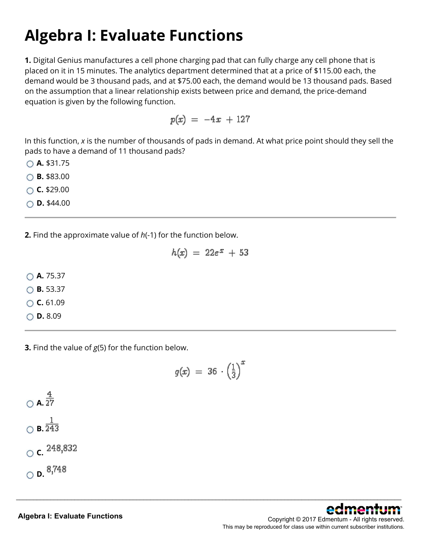# **Algebra I: Evaluate Functions**

**1.** Digital Genius manufactures a cell phone charging pad that can fully charge any cell phone that is placed on it in 15 minutes. The analytics department determined that at a price of \$115.00 each, the demand would be 3 thousand pads, and at \$75.00 each, the demand would be 13 thousand pads. Based on the assumption that a linear relationship exists between price and demand, the price-demand equation is given by the following function.

$$
p(x) = -4x + 127
$$

In this function, *x* is the number of thousands of pads in demand. At what price point should they sell the pads to have a demand of 11 thousand pads?

**A.** \$31.75

**B.** \$83.00

**C.** \$29.00

**D.** \$44.00

**2.** Find the approximate value of *h*(-1) for the function below.

$$
h(x) = 22e^x + 53
$$

**A.** 75.37

**B.** 53.37

**C.** 61.09

**D.** 8.09

**3.** Find the value of *g*(5) for the function below.

$$
g(x) = 36 \cdot \left(\frac{1}{3}\right)^x
$$

 $\bigcirc$  **A.**  $\frac{4}{27}$  $\frac{1}{\bigcirc}$  **B.** 243 ○ **c.**  $248,832$  $\circ$  **D.**  $8,748$ 

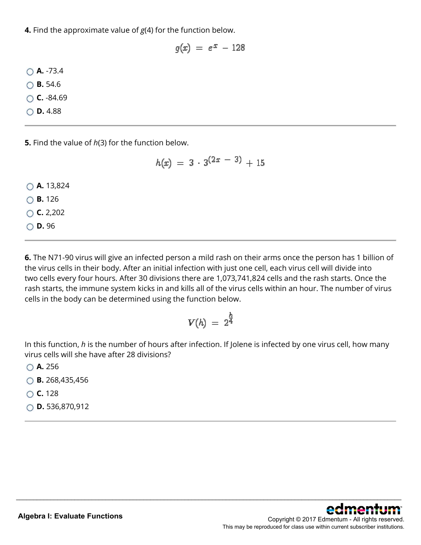**4.** Find the approximate value of *g*(4) for the function below.

$$
g(x) = e^x - 128
$$

**A.** -73.4

**B.** 54.6

**C.** -84.69

**D.** 4.88

**5.** Find the value of *h*(3) for the function below.

$$
h(x) = 3 \cdot 3^{(2x - 3)} + 15
$$

**A.** 13,824

**B.** 126

**C.** 2,202

**D.** 96

**6.** The N71-90 virus will give an infected person a mild rash on their arms once the person has 1 billion of the virus cells in their body. After an initial infection with just one cell, each virus cell will divide into two cells every four hours. After 30 divisions there are 1,073,741,824 cells and the rash starts. Once the rash starts, the immune system kicks in and kills all of the virus cells within an hour. The number of virus cells in the body can be determined using the function below.

$$
V(h) = 2^{\frac{h}{4}}
$$

In this function, *h* is the number of hours after infection. If Jolene is infected by one virus cell, how many virus cells will she have after 28 divisions?

\_\_\_\_\_\_\_\_\_\_\_\_\_\_\_\_\_\_\_\_\_\_\_\_\_\_\_\_\_\_\_\_\_\_\_\_\_\_\_\_\_\_\_\_\_\_\_\_\_\_\_\_\_\_\_\_\_\_\_\_\_\_\_\_\_\_\_\_\_\_\_\_\_\_\_\_\_\_\_\_\_\_\_\_\_\_\_\_\_\_\_\_\_\_\_\_\_\_\_\_\_\_\_\_\_\_\_\_\_\_\_\_

**A.** 256

**B.** 268,435,456

**C.** 128

**D.** 536,870,912

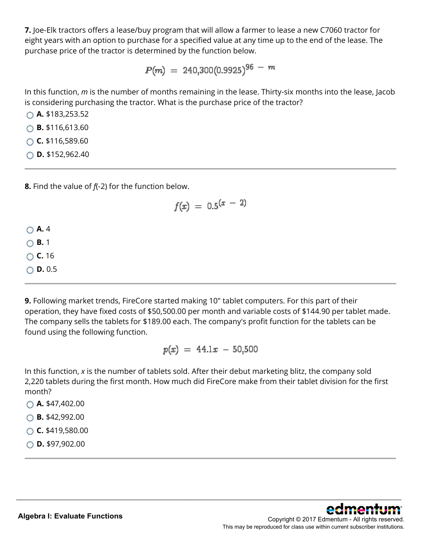**7.** Joe-Elk tractors offers a lease/buy program that will allow a farmer to lease a new C7060 tractor for eight years with an option to purchase for a specified value at any time up to the end of the lease. The purchase price of the tractor is determined by the function below.

$$
P(m) = 240,300(0.9925)^{96-m}
$$

In this function, *m* is the number of months remaining in the lease. Thirty-six months into the lease, Jacob is considering purchasing the tractor. What is the purchase price of the tractor?

**A.** \$183,253.52

**B.** \$116,613.60

**C.** \$116,589.60

**D.** \$152,962.40

**8.** Find the value of *f*(-2) for the function below.

$$
f(x) \ = \ 0.5^{(x \ - \ 2)}
$$

**A.** 4

**B.** 1

**C.** 16

**D.** 0.5

**9.** Following market trends, FireCore started making 10" tablet computers. For this part of their operation, they have fixed costs of \$50,500.00 per month and variable costs of \$144.90 per tablet made. The company sells the tablets for \$189.00 each. The company's profit function for the tablets can be found using the following function.

 $p(x) = 44.1x - 50,500$ 

In this function, *x* is the number of tablets sold. After their debut marketing blitz, the company sold 2,220 tablets during the first month. How much did FireCore make from their tablet division for the first month?

\_\_\_\_\_\_\_\_\_\_\_\_\_\_\_\_\_\_\_\_\_\_\_\_\_\_\_\_\_\_\_\_\_\_\_\_\_\_\_\_\_\_\_\_\_\_\_\_\_\_\_\_\_\_\_\_\_\_\_\_\_\_\_\_\_\_\_\_\_\_\_\_\_\_\_\_\_\_\_\_\_\_\_\_\_\_\_\_\_\_\_\_\_\_\_\_\_\_\_\_\_\_\_\_\_\_\_\_\_\_\_\_

**A.** \$47,402.00

**B.** \$42,992.00

**C.** \$419,580.00

**D.** \$97,902.00

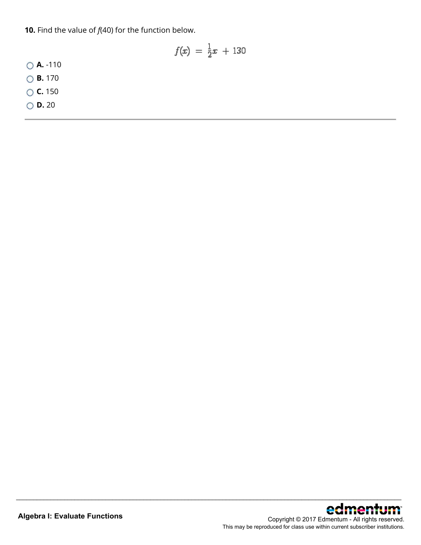**10.** Find the value of *f*(40) for the function below.

$$
f(x) = \frac{1}{2}x + 130
$$

\_\_\_\_\_\_\_\_\_\_\_\_\_\_\_\_\_\_\_\_\_\_\_\_\_\_\_\_\_\_\_\_\_\_\_\_\_\_\_\_\_\_\_\_\_\_\_\_\_\_\_\_\_\_\_\_\_\_\_\_\_\_\_\_\_\_\_\_\_\_\_\_\_\_\_\_\_\_\_\_\_\_\_\_\_\_\_\_\_\_\_\_\_\_\_\_\_\_\_\_\_\_\_\_\_\_\_\_\_\_\_\_

**A.** -110

**B.** 170

**C.** 150

**D.** 20

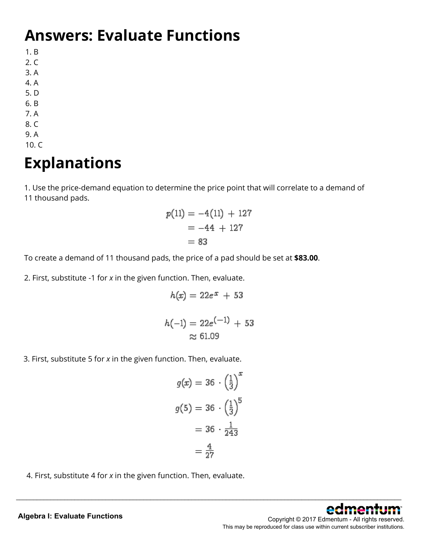#### **Answers: Evaluate Functions**

1. B

- 2. C
- 3. A
- 4. A
- 5. D
- 6. B
- 7. A
- 8. C 9. A
- 10. C

# **Explanations**

1. Use the price-demand equation to determine the price point that will correlate to a demand of 11 thousand pads.

$$
p(11) = -4(11) + 127
$$
  
= -44 + 127  
= 83

To create a demand of 11 thousand pads, the price of a pad should be set at **\$83.00**.

2. First, substitute -1 for *x* in the given function. Then, evaluate.

$$
h(x) = 22e^x + 53
$$

$$
h(-1) = 22e^{(-1)} + 53
$$
  

$$
\approx 61.09
$$

3. First, substitute 5 for *x* in the given function. Then, evaluate.

$$
g(x) = 36 \cdot \left(\frac{1}{3}\right)^x
$$

$$
g(5) = 36 \cdot \left(\frac{1}{3}\right)^5
$$

$$
= 36 \cdot \frac{1}{243}
$$

$$
= \frac{4}{27}
$$

\_\_\_\_\_\_\_\_\_\_\_\_\_\_\_\_\_\_\_\_\_\_\_\_\_\_\_\_\_\_\_\_\_\_\_\_\_\_\_\_\_\_\_\_\_\_\_\_\_\_\_\_\_\_\_\_\_\_\_\_\_\_\_\_\_\_\_\_\_\_\_\_\_\_\_\_\_\_\_\_\_\_\_\_\_\_\_\_\_\_\_\_\_\_\_\_\_\_\_\_\_\_\_\_\_\_\_\_\_\_\_\_

4. First, substitute 4 for *x* in the given function. Then, evaluate.

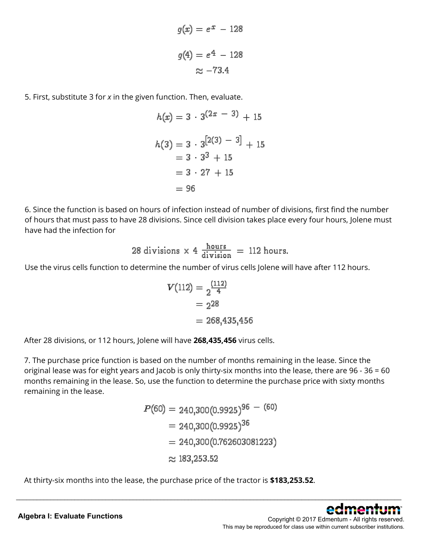$$
g(x) = e^x - 128
$$

$$
g(4) = e^4 - 128
$$

$$
\approx -73.4
$$

5. First, substitute 3 for *x* in the given function. Then, evaluate.

$$
h(x) = 3 \cdot 3^{(2x - 3)} + 15
$$
  
\n
$$
h(3) = 3 \cdot 3^{[2(3) - 3]} + 15
$$
  
\n
$$
= 3 \cdot 3^3 + 15
$$
  
\n
$$
= 3 \cdot 27 + 15
$$
  
\n
$$
= 96
$$

6. Since the function is based on hours of infection instead of number of divisions, first find the number of hours that must pass to have 28 divisions. Since cell division takes place every four hours, Jolene must have had the infection for

28 divisions × 4 
$$
\frac{\text{hours}}{\text{division}}
$$
 = 112 hours.

Use the virus cells function to determine the number of virus cells Jolene will have after 112 hours.

$$
V(112) = \frac{(112)}{4}
$$
  
= 228  
= 268,435,456

After 28 divisions, or 112 hours, Jolene will have **268,435,456** virus cells.

7. The purchase price function is based on the number of months remaining in the lease. Since the original lease was for eight years and Jacob is only thirty-six months into the lease, there are 96 - 36 = 60 months remaining in the lease. So, use the function to determine the purchase price with sixty months remaining in the lease.

$$
P(60) = 240,300(0.9925)^{96} - (60)
$$
  
= 240,300(0.9925)<sup>36</sup>  
= 240,300(0.762603081223)  
≈ 183,253.52

\_\_\_\_\_\_\_\_\_\_\_\_\_\_\_\_\_\_\_\_\_\_\_\_\_\_\_\_\_\_\_\_\_\_\_\_\_\_\_\_\_\_\_\_\_\_\_\_\_\_\_\_\_\_\_\_\_\_\_\_\_\_\_\_\_\_\_\_\_\_\_\_\_\_\_\_\_\_\_\_\_\_\_\_\_\_\_\_\_\_\_\_\_\_\_\_\_\_\_\_\_\_\_\_\_\_\_\_\_\_\_\_

At thirty-six months into the lease, the purchase price of the tractor is **\$183,253.52**.



Copyright © 2017 Edmentum - All rights reserved. This may be reproduced for class use within current subscriber institutions.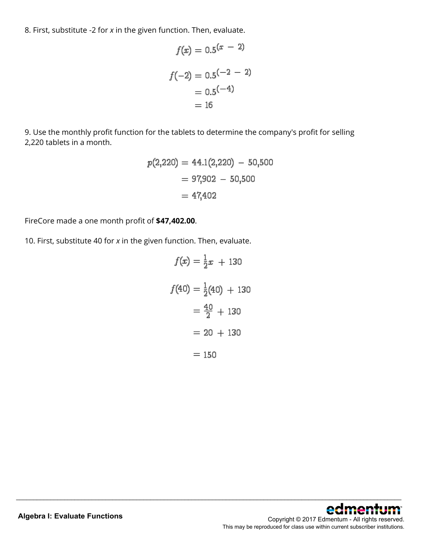8. First, substitute -2 for *x* in the given function. Then, evaluate.

$$
f(x) = 0.5(x - 2)
$$

$$
f(-2) = 0.5(-2 - 2)
$$

$$
= 0.5(-4)
$$

$$
= 16
$$

 $\mathbf{r}$ 

9. Use the monthly profit function for the tablets to determine the company's profit for selling 2,220 tablets in a month.

$$
p(2,220) = 44.1(2,220) - 50,500
$$

$$
= 97,902 - 50,500
$$

$$
= 47,402
$$

FireCore made a one month profit of **\$47,402.00**.

10. First, substitute 40 for *x* in the given function. Then, evaluate.

$$
f(x) = \frac{1}{2}x + 130
$$

$$
f(40) = \frac{1}{2}(40) + 130
$$

$$
= \frac{40}{2} + 130
$$

$$
= 20 + 130
$$

$$
= 150
$$

\_\_\_\_\_\_\_\_\_\_\_\_\_\_\_\_\_\_\_\_\_\_\_\_\_\_\_\_\_\_\_\_\_\_\_\_\_\_\_\_\_\_\_\_\_\_\_\_\_\_\_\_\_\_\_\_\_\_\_\_\_\_\_\_\_\_\_\_\_\_\_\_\_\_\_\_\_\_\_\_\_\_\_\_\_\_\_\_\_\_\_\_\_\_\_\_\_\_\_\_\_\_\_\_\_\_\_\_\_\_\_\_



Copyright © 2017 Edmentum - All rights reserved. This may be reproduced for class use within current subscriber institutions.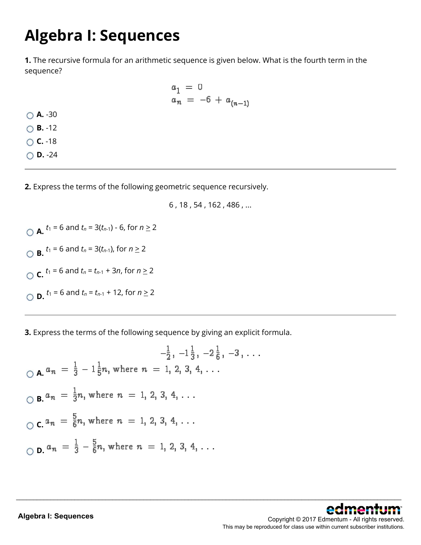## **Algebra I: Sequences**

**A.** -30 **B.** -12 **C.** -18 **D.** -24

**1.** The recursive formula for an arithmetic sequence is given below. What is the fourth term in the sequence?

$$
a_1 = 0
$$
  

$$
a_n = -6 + a_{(n-1)}
$$

**2.** Express the terms of the following geometric sequence recursively.

6 , 18 , 54 , 162 , 486 , ...

\_\_\_\_\_\_\_\_\_\_\_\_\_\_\_\_\_\_\_\_\_\_\_\_\_\_\_\_\_\_\_\_\_\_\_\_\_\_\_\_\_\_\_\_\_\_\_\_\_\_\_\_\_\_\_\_\_\_\_\_\_\_\_\_\_\_\_\_\_\_\_\_\_\_\_\_\_\_\_\_\_\_\_\_\_\_\_\_\_\_\_\_\_\_\_\_\_\_\_\_\_\_\_\_\_\_\_\_\_\_\_\_

**A.**  $t_1 = 6$  and  $t_n = 3(t_{n-1}) - 6$ , for  $n \ge 2$ **B.**  $t_1 = 6$  and  $t_n = 3(t_{n-1})$ , for  $n \ge 2$ **C.**  $t_1 = 6$  and  $t_n = t_{n-1} + 3n$ , for  $n \ge 2$ **D.**  $t_1 = 6$  and  $t_n = t_{n-1} + 12$ , for  $n \ge 2$ 

**3.** Express the terms of the following sequence by giving an explicit formula.

$$
-\frac{1}{2}, -1\frac{1}{3}, -2\frac{1}{6}, -3, \ldots
$$
  
\n
$$
\bigcirc \mathbf{A}.^{a_n} = \frac{1}{3} - 1\frac{1}{5}n, \text{ where } n = 1, 2, 3, 4, \ldots
$$
  
\n
$$
\bigcirc \mathbf{B}.^{a_n} = \frac{1}{3}n, \text{ where } n = 1, 2, 3, 4, \ldots
$$
  
\n
$$
\bigcirc \mathbf{C}.^{a_n} = \frac{5}{6}n, \text{ where } n = 1, 2, 3, 4, \ldots
$$
  
\n
$$
\bigcirc \mathbf{D}.^{a_n} = \frac{1}{3} - \frac{5}{6}n, \text{ where } n = 1, 2, 3, 4, \ldots
$$

edr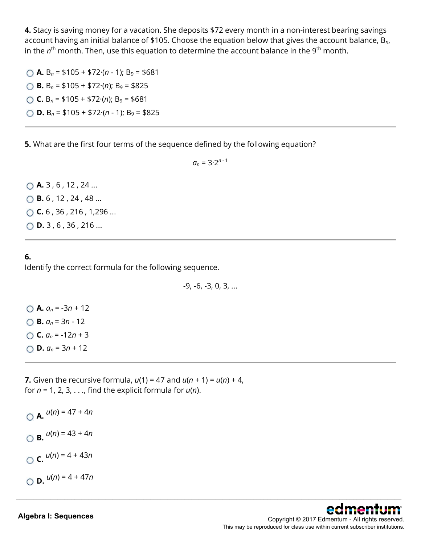**4.** Stacy is saving money for a vacation. She deposits \$72 every month in a non-interest bearing savings account having an initial balance of \$105. Choose the equation below that gives the account balance, B*n*, in the  $n<sup>th</sup>$  month. Then, use this equation to determine the account balance in the 9<sup>th</sup> month.

 $\bigcap$  **A.** B<sub>n</sub> = \$105 + \$72 $\cdot$ (n - 1); B<sub>9</sub> = \$681 **B.**  $B_n = $105 + $72 \cdot (n); B_9 = $825$ **C.**  $B_n = $105 + $72 \cdot (n)$ ;  $B_9 = $681$ **D.**  $B_n = $105 + $72 \cdot (n - 1); B_9 = $825$ 

**5.** What are the first four terms of the sequence defined by the following equation?

 $a_n = 3 \cdot 2^{n-1}$ 

◯ **A.** 3, 6, 12, 24 ... **B.** 6 , 12 , 24 , 48 ... **C.** 6 , 36 , 216 , 1,296 ... ◯ **D.** 3, 6, 36, 216 ...

#### **6.** Identify the correct formula for the following sequence.

-9, -6, -3, 0, 3, ...

\_\_\_\_\_\_\_\_\_\_\_\_\_\_\_\_\_\_\_\_\_\_\_\_\_\_\_\_\_\_\_\_\_\_\_\_\_\_\_\_\_\_\_\_\_\_\_\_\_\_\_\_\_\_\_\_\_\_\_\_\_\_\_\_\_\_\_\_\_\_\_\_\_\_\_\_\_\_\_\_\_\_\_\_\_\_\_\_\_\_\_\_\_\_\_\_\_\_\_\_\_\_\_\_\_\_\_\_\_\_\_\_

 $\bigcirc$  **A.**  $a_n = -3n + 12$ **B.** *an* = 3*n* - 12  $\bigcirc$  **C.**  $a_n = -12n + 3$  $\bigcirc$  **D.**  $a_n = 3n + 12$ 

**7.** Given the recursive formula,  $u(1) = 47$  and  $u(n + 1) = u(n) + 4$ , for *n* = 1, 2, 3, . . ., find the explicit formula for *u*(*n*).

 $A.$   $u(n) = 47 + 4n$  $\bigcap$  **B.**  $u(n) = 43 + 4n$  $C.$   $u(n) = 4 + 43n$  $O$  **D.**  $u(n) = 4 + 47n$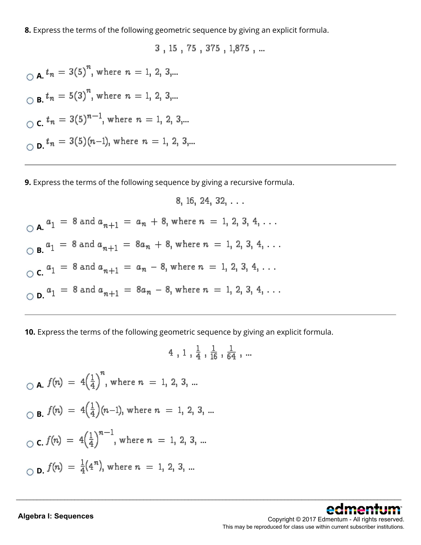**8.** Express the terms of the following geometric sequence by giving an explicit formula.

3, 15, 75, 375, 1,875, ...

 $A_n$ ,  $t_n = 3(5)^n$ , where  $n = 1, 2, 3,...$  $\bigcirc$  **B.**  $t_n = 5(3)^n$ , where  $n = 1, 2, 3,...$  $C_c$ ,  $t_n = 3(5)^{n-1}$ , where  $n = 1, 2, 3,...$  $D.$   $t_n = 3(5)(n-1)$ , where  $n = 1, 2, 3,...$ 

**9.** Express the terms of the following sequence by giving a recursive formula.

8, 16, 24, 32, ...  
\n
$$
\bigcirc
$$
 A.  $a_1 = 8$  and  $a_{n+1} = a_n + 8$ , where  $n = 1, 2, 3, 4, ...$   
\n $\bigcirc$  B.  $a_1 = 8$  and  $a_{n+1} = 8a_n + 8$ , where  $n = 1, 2, 3, 4, ...$   
\n $\bigcirc$  C.  $a_1 = 8$  and  $a_{n+1} = a_n - 8$ , where  $n = 1, 2, 3, 4, ...$   
\n $\bigcirc$  D.  $a_1 = 8$  and  $a_{n+1} = 8a_n - 8$ , where  $n = 1, 2, 3, 4, ...$ 

**10.** Express the terms of the following geometric sequence by giving an explicit formula.

4, 1,  $\frac{1}{4}$ ,  $\frac{1}{16}$ ,  $\frac{1}{64}$ , ...  $\bigcirc$  **A.**  $f(n) = 4\left(\frac{1}{4}\right)^n$ , where  $n = 1, 2, 3, ...$ **B.**  $f(n) = 4\left(\frac{1}{4}\right)(n-1)$ , where  $n = 1, 2, 3, ...$  $C$  **C.**  $f(n) = 4\left(\frac{1}{4}\right)^{n-1}$ , where  $n = 1, 2, 3, ...$  $D$ **D.**  $f(n) = \frac{1}{4}(4^n)$ , where  $n = 1, 2, 3, ...$ 

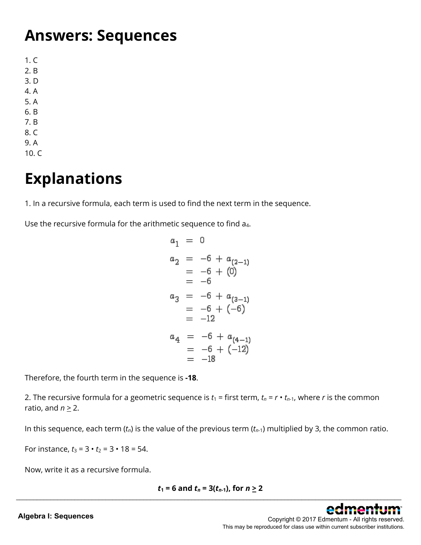#### **Answers: Sequences**

1. C 2. B 3. D 4. A 5. A 6. B 7. B 8. C 9. A

10. C

## **Explanations**

1. In a recursive formula, each term is used to find the next term in the sequence.

Use the recursive formula for the arithmetic sequence to find a<sub>4</sub>.

$$
a_1 = 0
$$
  
\n
$$
a_2 = -6 + a_{(2-1)}
$$
  
\n
$$
= -6 + (0)
$$
  
\n
$$
= -6
$$
  
\n
$$
a_3 = -6 + a_{(3-1)}
$$
  
\n
$$
= -6 + (-6)
$$
  
\n
$$
= -12
$$
  
\n
$$
a_4 = -6 + a_{(4-1)}
$$
  
\n
$$
= -6 + (-12)
$$
  
\n
$$
= -18
$$

Therefore, the fourth term in the sequence is **-18**.

2. The recursive formula for a geometric sequence is  $t_1$  = first term,  $t_n = r \cdot t_{n-1}$ , where *r* is the common ratio, and  $n \geq 2$ .

In this sequence, each term  $(t_n)$  is the value of the previous term  $(t_{n-1})$  multiplied by 3, the common ratio.

For instance,  $t_3 = 3 \cdot t_2 = 3 \cdot 18 = 54$ .

Now, write it as a recursive formula.

$$
t_1 = 6
$$
 and  $t_n = 3(t_{n-1})$ , for  $n \ge 2$ 

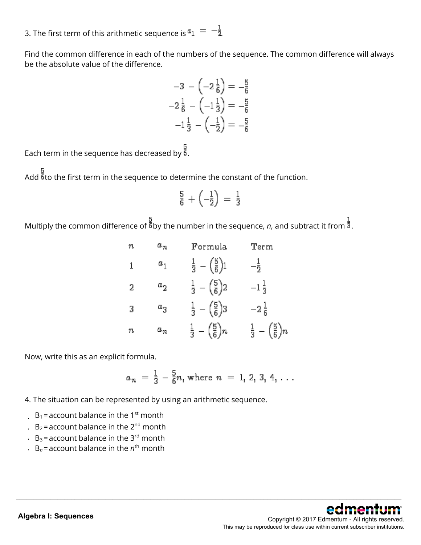3. The first term of this arithmetic sequence is  $a_1 = -\frac{1}{2}$ .

Find the common difference in each of the numbers of the sequence. The common difference will always be the absolute value of the difference.

$$
-3 - \left(-2\frac{1}{6}\right) = -\frac{5}{6}
$$

$$
-2\frac{1}{6} - \left(-1\frac{1}{3}\right) = -\frac{5}{6}
$$

$$
-1\frac{1}{3} - \left(-\frac{1}{2}\right) = -\frac{5}{6}
$$

Each term in the sequence has decreased by  $\frac{3}{6}$ .

Add  $\frac{b}{6}$  to the first term in the sequence to determine the constant of the function.

$$
\tfrac{5}{6}+\left(-\tfrac{1}{2}\right)=\tfrac{1}{3}
$$

Multiply the common difference of  $\frac{2}{5}$  by the number in the sequence, *n*, and subtract it from  $\frac{1}{3}$ .

| n | $a_n$                     | Formula                                 | Term                                    |
|---|---------------------------|-----------------------------------------|-----------------------------------------|
| 1 | $a_{1}$                   | $\frac{1}{3} - (\frac{5}{6})$ 1         | $-\frac{1}{2}$                          |
| 2 | $a^{\phantom{\dagger}}_2$ | $\frac{1}{3} - (\frac{5}{6})2$          | $-1\frac{1}{3}$                         |
| З | $a_3$                     | $\frac{1}{3} - (\frac{5}{6})3$          | $-2\frac{1}{6}$                         |
| n | $a_n$                     | $rac{1}{3} - \left(\frac{5}{6}\right)n$ | $rac{1}{3} - \left(\frac{5}{6}\right)n$ |

Now, write this as an explicit formula.

$$
a_n = \frac{1}{3} - \frac{5}{6}n
$$
, where  $n = 1, 2, 3, 4, ...$ 

- 4. The situation can be represented by using an arithmetic sequence.
- $B_1$  = account balance in the 1<sup>st</sup> month
- .  $B_2$ = account balance in the 2<sup>nd</sup> month
- $B_3$  = account balance in the 3<sup>rd</sup> month
- $\cdot$  B<sub>n</sub> = account balance in the  $n^{\text{th}}$  month

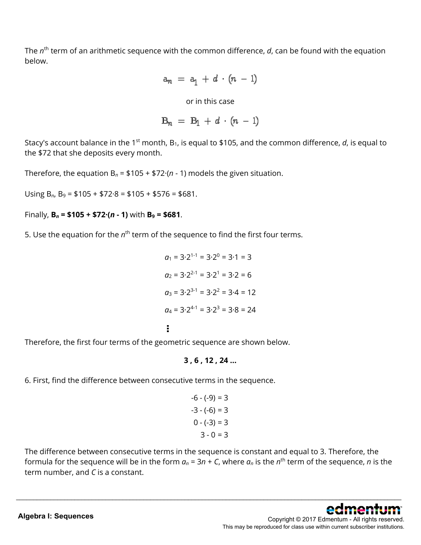The *n*<sup>th</sup> term of an arithmetic sequence with the common difference, *d*, can be found with the equation below.

$$
a_n = a_1 + d \cdot (n-1)
$$

or in this case

$$
B_n = B_1 + d \cdot (n-1)
$$

Stacy's account balance in the 1<sup>st</sup> month, B<sub>1</sub>, is equal to \$105, and the common difference, *d*, is equal to the \$72 that she deposits every month.

Therefore, the equation  $B_n = $105 + $72 \cdot (n - 1)$  models the given situation.

Using B*n*, B9 = \$105 + \$72·8 = \$105 + \$576 = \$681.

Finally,  $B_n = $105 + $72 \cdot (n - 1)$  with  $B_9 = $681$ .

5. Use the equation for the *n*<sup>th</sup> term of the sequence to find the first four terms.

 $q_1 = 3 \cdot 2^{1-1} = 3 \cdot 2^0 = 3 \cdot 1 = 3$  $q_2 = 3.2^{2-1} = 3.2^1 = 3.2 = 6$  $a_3 = 3.2^{3-1} = 3.2^2 = 3.4 = 12$  $a_4 = 3.2^{4-1} = 3.2^3 = 3.8 = 24$ 

Therefore, the first four terms of the geometric sequence are shown below.

#### **3 , 6 , 12 , 24 ...**

6. First, find the difference between consecutive terms in the sequence.

$$
-6 - (-9) = 3
$$
  

$$
-3 - (-6) = 3
$$
  

$$
0 - (-3) = 3
$$
  

$$
3 - 0 = 3
$$

The difference between consecutive terms in the sequence is constant and equal to 3. Therefore, the formula for the sequence will be in the form  $a_n = 3n + C$ , where  $a_n$  is the  $n^{\text{th}}$  term of the sequence, *n* is the term number, and *C* is a constant.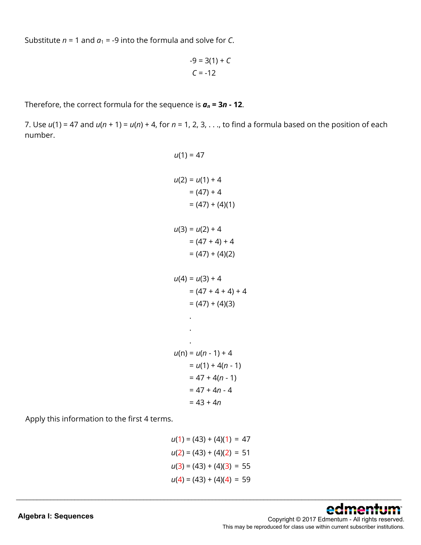Substitute  $n = 1$  and  $a_1 = -9$  into the formula and solve for *C*.

$$
-9 = 3(1) + C
$$
  
C = -12

Therefore, the correct formula for the sequence is *an* **= 3***n* **- 12**.

7. Use *u*(1) = 47 and *u*(*n* + 1) = *u*(*n*) + 4, for *n* = 1, 2, 3, . . ., to find a formula based on the position of each number.

$$
u(1) = 47
$$
  
\n
$$
u(2) = u(1) + 4
$$
  
\n
$$
= (47) + 4
$$
  
\n
$$
= (47) + (4)(1)
$$
  
\n
$$
u(3) = u(2) + 4
$$
  
\n
$$
= (47 + 4) + 4
$$
  
\n
$$
= (47) + (4)(2)
$$
  
\n
$$
u(4) = u(3) + 4
$$
  
\n
$$
= (47 + 4 + 4) + 4
$$
  
\n
$$
= (47) + (4)(3)
$$
  
\n
$$
...
$$
  
\n
$$
u(n) = u(n - 1) + 4
$$
  
\n
$$
= u(1) + 4(n - 1)
$$
  
\n
$$
= 47 + 4(n - 1)
$$
  
\n
$$
= 47 + 4n - 4
$$
  
\n
$$
= 43 + 4n
$$

Apply this information to the first 4 terms.

$$
u(1) = (43) + (4)(1) = 47
$$
  
\n
$$
u(2) = (43) + (4)(2) = 51
$$
  
\n
$$
u(3) = (43) + (4)(3) = 55
$$
  
\n
$$
u(4) = (43) + (4)(4) = 59
$$

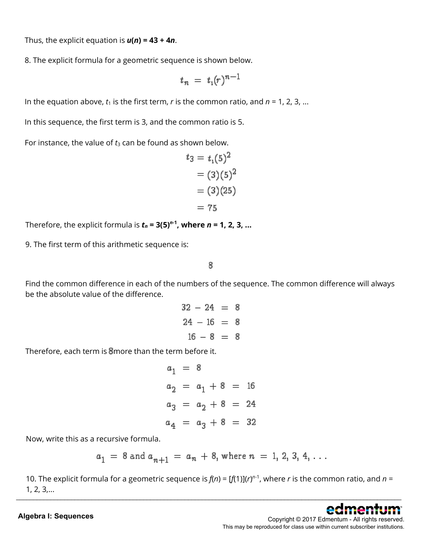Thus, the explicit equation is *u***(***n***) = 43 + 4***n*.

8. The explicit formula for a geometric sequence is shown below.

$$
t_n = t_1(r)^{n-1}
$$

In the equation above,  $t_1$  is the first term,  $r$  is the common ratio, and  $n = 1, 2, 3, ...$ 

In this sequence, the first term is 3, and the common ratio is 5.

For instance, the value of  $t_3$  can be found as shown below.

$$
t_3 = t_1(5)^2
$$
  
= (3)(5)<sup>2</sup>  
= (3)(25)  
= 75

Therefore, the explicit formula is  $t_n = 3(5)^{n-1}$ , where  $n = 1, 2, 3, ...$ 

9. The first term of this arithmetic sequence is:

8

Find the common difference in each of the numbers of the sequence. The common difference will always be the absolute value of the difference.

> $32 - 24 = 8$  $24 - 16 = 8$  $16 - 8 = 8$

Therefore, each term is a more than the term before it.

 $a_1 = 8$  $a_2 = a_1 + 8 = 16$  $a_3 = a_2 + 8 = 24$  $a_4 = a_3 + 8 = 32$ 

Now, write this as a recursive formula.

$$
a_1 = 8
$$
 and  $a_{n+1} = a_n + 8$ , where  $n = 1, 2, 3, 4, ...$ 

10. The explicit formula for a geometric sequence is  $f(n) = [f(1)](r)^{n-1}$ , where *r* is the common ratio, and *n* = 1, 2, 3,... \_\_\_\_\_\_\_\_\_\_\_\_\_\_\_\_\_\_\_\_\_\_\_\_\_\_\_\_\_\_\_\_\_\_\_\_\_\_\_\_\_\_\_\_\_\_\_\_\_\_\_\_\_\_\_\_\_\_\_\_\_\_\_\_\_\_\_\_\_\_\_\_\_\_\_\_\_\_\_\_\_\_\_\_\_\_\_\_\_\_\_\_\_\_\_\_\_\_\_\_\_\_\_\_\_\_\_\_\_\_\_\_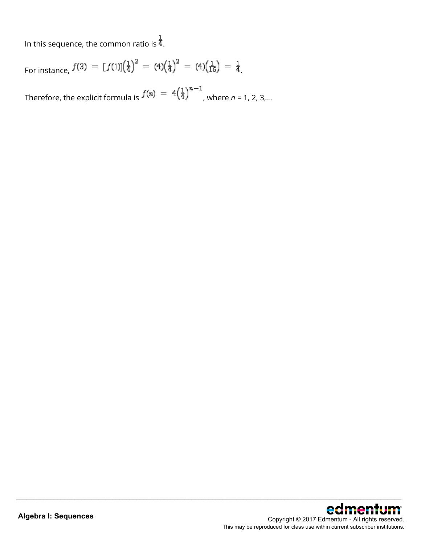In this sequence, the common ratio is  $\frac{1}{4}$ .

For instance,  $f(3) = [f(1)](\frac{1}{4})^2 = (4)(\frac{1}{4})^2 = (4)(\frac{1}{16}) = \frac{1}{4}$ .

Therefore, the explicit formula is  $f(n) = 4(\frac{1}{4})^{n-1}$ , where *n* = 1, 2, 3,...

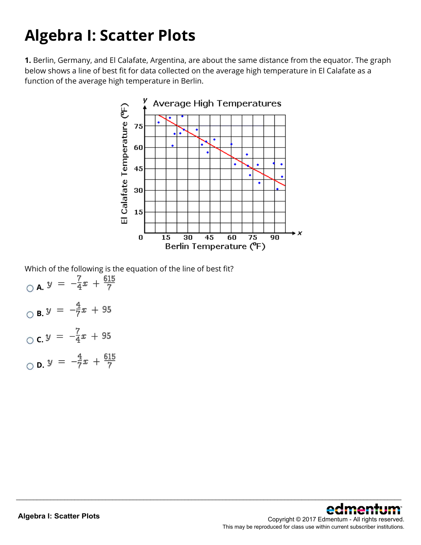## **Algebra I: Scatter Plots**

**1.** Berlin, Germany, and El Calafate, Argentina, are about the same distance from the equator. The graph below shows a line of best fit for data collected on the average high temperature in El Calafate as a function of the average high temperature in Berlin.



\_\_\_\_\_\_\_\_\_\_\_\_\_\_\_\_\_\_\_\_\_\_\_\_\_\_\_\_\_\_\_\_\_\_\_\_\_\_\_\_\_\_\_\_\_\_\_\_\_\_\_\_\_\_\_\_\_\_\_\_\_\_\_\_\_\_\_\_\_\_\_\_\_\_\_\_\_\_\_\_\_\_\_\_\_\_\_\_\_\_\_\_\_\_\_\_\_\_\_\_\_\_\_\_\_\_\_\_\_\_\_\_

Which of the following is the equation of the line of best fit?

 $\overline{Q}$  **A.**  $y = -\frac{7}{4}x + \frac{615}{7}$  $\overline{O}$  **B.**  $y = -\frac{4}{7}x + 95$ **C.**  $y = -\frac{7}{4}x + 95$ **D.**  $y = -\frac{4}{7}x + \frac{615}{7}$ 

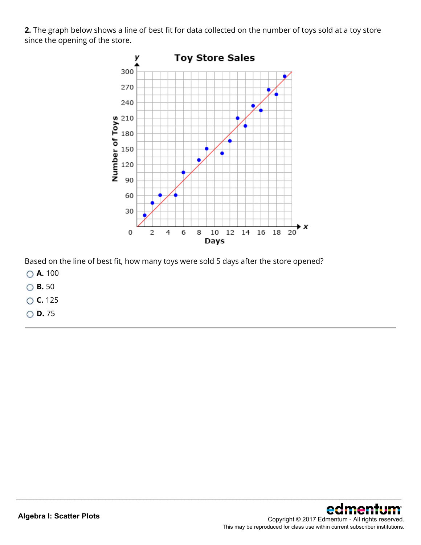**2.** The graph below shows a line of best fit for data collected on the number of toys sold at a toy store since the opening of the store.



\_\_\_\_\_\_\_\_\_\_\_\_\_\_\_\_\_\_\_\_\_\_\_\_\_\_\_\_\_\_\_\_\_\_\_\_\_\_\_\_\_\_\_\_\_\_\_\_\_\_\_\_\_\_\_\_\_\_\_\_\_\_\_\_\_\_\_\_\_\_\_\_\_\_\_\_\_\_\_\_\_\_\_\_\_\_\_\_\_\_\_\_\_\_\_\_\_\_\_\_\_\_\_\_\_\_\_\_\_\_\_\_

Based on the line of best fit, how many toys were sold 5 days after the store opened?

- **A.** 100
- **B.** 50
- **C.** 125
- **D.** 75

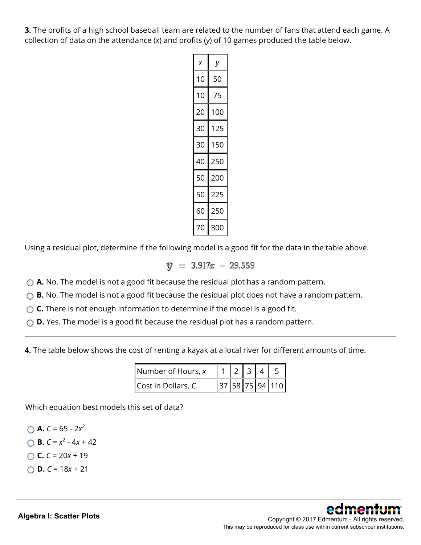**3.** The profits of a high school baseball team are related to the number of fans that attend each game. A collection of data on the attendance (*x*) and profits (*y*) of 10 games produced the table below.

| x  |     |
|----|-----|
| 10 | 50  |
| 10 | 75  |
| 20 | 100 |
| 30 | 125 |
| 30 | 150 |
| 40 | 250 |
| 50 | 200 |
| 50 | 225 |
| 60 | 250 |
| 70 | 300 |

Using a residual plot, determine if the following model is a good fit for the data in the table above.

 $\hat{v} = 3.917x - 29.559$ 

- **A.** No. The model is not a good fit because the residual plot has a random pattern.
- ◯ **B.** No. The model is not a good fit because the residual plot does not have a random pattern.
- **C.** There is not enough information to determine if the model is a good fit.
- **D.** Yes. The model is a good fit because the residual plot has a random pattern.

**4.** The table below shows the cost of renting a kayak at a local river for different amounts of time.

| Number of Hours, x |  |  |                 |
|--------------------|--|--|-----------------|
| Cost in Dollars, C |  |  | 37 58 75 94 110 |

\_\_\_\_\_\_\_\_\_\_\_\_\_\_\_\_\_\_\_\_\_\_\_\_\_\_\_\_\_\_\_\_\_\_\_\_\_\_\_\_\_\_\_\_\_\_\_\_\_\_\_\_\_\_\_\_\_\_\_\_\_\_\_\_\_\_\_\_\_\_\_\_\_\_\_\_\_\_\_\_\_\_\_\_\_\_\_\_\_\_\_\_\_\_\_\_\_\_\_\_\_\_\_\_\_\_\_\_\_\_\_\_

Which equation best models this set of data?

\n- ✓ **A.** 
$$
C = 65 - 2x^2
$$
\n- ✓ **B.**  $C = x^2 - 4x + 42$
\n- ✓ **C.**  $C = 20x + 19$
\n

**D.** *C* = 18*x* + 21

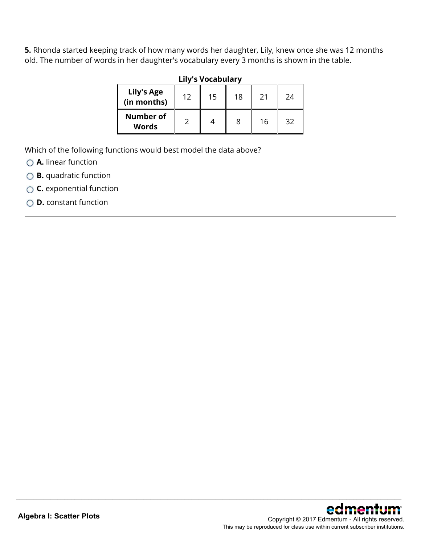**5.** Rhonda started keeping track of how many words her daughter, Lily, knew once she was 12 months old. The number of words in her daughter's vocabulary every 3 months is shown in the table.

| <b>Lily's Vocabulary</b>         |    |    |    |    |    |
|----------------------------------|----|----|----|----|----|
| <b>Lily's Age</b><br>(in months) | 12 | 15 | 18 | 21 | 24 |
| <b>Number of</b><br>Words        |    |    | 8  | 16 | 32 |

\_\_\_\_\_\_\_\_\_\_\_\_\_\_\_\_\_\_\_\_\_\_\_\_\_\_\_\_\_\_\_\_\_\_\_\_\_\_\_\_\_\_\_\_\_\_\_\_\_\_\_\_\_\_\_\_\_\_\_\_\_\_\_\_\_\_\_\_\_\_\_\_\_\_\_\_\_\_\_\_\_\_\_\_\_\_\_\_\_\_\_\_\_\_\_\_\_\_\_\_\_\_\_\_\_\_\_\_\_\_\_\_

Which of the following functions would best model the data above?

- **A.** linear function
- **B.** quadratic function
- **C.** exponential function
- **D.** constant function

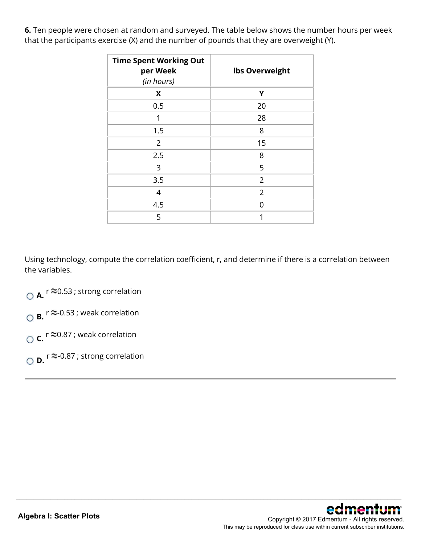**6.** Ten people were chosen at random and surveyed. The table below shows the number hours per week that the participants exercise (X) and the number of pounds that they are overweight (Y).

| <b>Time Spent Working Out</b><br>per Week<br>(in hours) | <b>Ibs Overweight</b> |
|---------------------------------------------------------|-----------------------|
| X                                                       | Υ                     |
| 0.5                                                     | 20                    |
| 1                                                       | 28                    |
| 1.5                                                     | 8                     |
| $\overline{2}$                                          | 15                    |
| 2.5                                                     | 8                     |
| 3                                                       | 5                     |
| 3.5                                                     | $\overline{2}$        |
| 4                                                       | $\overline{2}$        |
| 4.5                                                     | U                     |
| 5                                                       | 1                     |

Using technology, compute the correlation coefficient, r, and determine if there is a correlation between the variables.

- **△ A.** r ≈0.53 ; strong correlation
- $\overline{O}$  **B.**  $r \approx 0.53$ ; weak correlation
- $\circ$  **c.** r  $\approx$  0.87 ; weak correlation
- **D.** <sup>r</sup> ≈-0.87 ; strong correlation

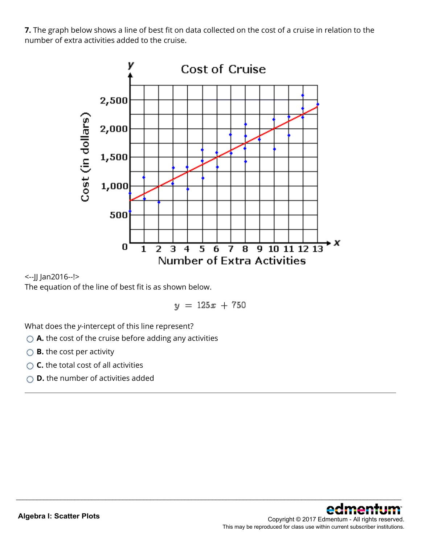**7.** The graph below shows a line of best fit on data collected on the cost of a cruise in relation to the number of extra activities added to the cruise.



<--JJ Jan2016--!>

The equation of the line of best fit is as shown below.

 $y = 125x + 750$ 

\_\_\_\_\_\_\_\_\_\_\_\_\_\_\_\_\_\_\_\_\_\_\_\_\_\_\_\_\_\_\_\_\_\_\_\_\_\_\_\_\_\_\_\_\_\_\_\_\_\_\_\_\_\_\_\_\_\_\_\_\_\_\_\_\_\_\_\_\_\_\_\_\_\_\_\_\_\_\_\_\_\_\_\_\_\_\_\_\_\_\_\_\_\_\_\_\_\_\_\_\_\_\_\_\_\_\_\_\_\_\_\_

What does the *y*-intercept of this line represent?

- **A.** the cost of the cruise before adding any activities
- **B.** the cost per activity
- **C.** the total cost of all activities
- **D.** the number of activities added

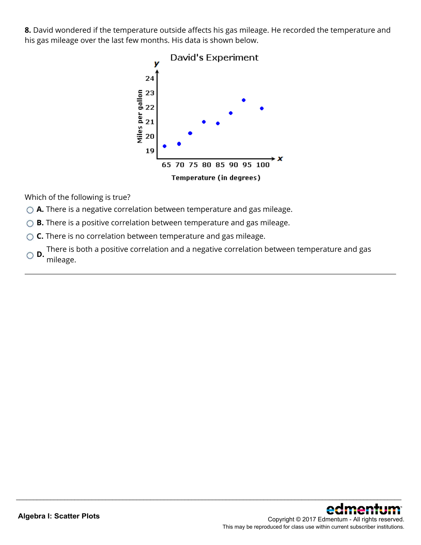**8.** David wondered if the temperature outside affects his gas mileage. He recorded the temperature and his gas mileage over the last few months. His data is shown below.



Which of the following is true?

- **A.** There is a negative correlation between temperature and gas mileage.
- ◯ **B.** There is a positive correlation between temperature and gas mileage.
- **C.** There is no correlation between temperature and gas mileage.
- **D.** There is both a positive correlation and a negative correlation between temperature and gas mileage.

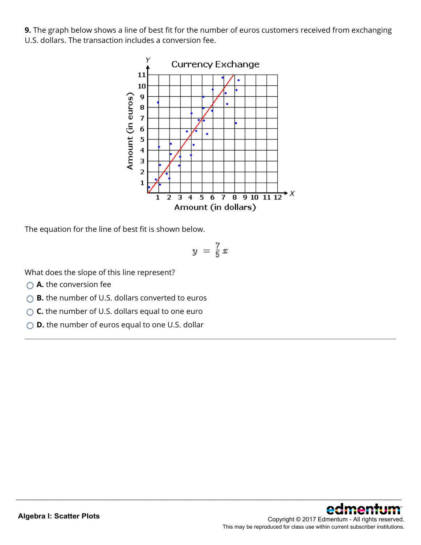**9.** The graph below shows a line of best fit for the number of euros customers received from exchanging U.S. dollars. The transaction includes a conversion fee.



The equation for the line of best fit is shown below.

$$
y = \frac{7}{5}x
$$

\_\_\_\_\_\_\_\_\_\_\_\_\_\_\_\_\_\_\_\_\_\_\_\_\_\_\_\_\_\_\_\_\_\_\_\_\_\_\_\_\_\_\_\_\_\_\_\_\_\_\_\_\_\_\_\_\_\_\_\_\_\_\_\_\_\_\_\_\_\_\_\_\_\_\_\_\_\_\_\_\_\_\_\_\_\_\_\_\_\_\_\_\_\_\_\_\_\_\_\_\_\_\_\_\_\_\_\_\_\_\_\_

What does the slope of this line represent?

- **A.** the conversion fee
- **B.** the number of U.S. dollars converted to euros
- **C.** the number of U.S. dollars equal to one euro
- **D.** the number of euros equal to one U.S. dollar

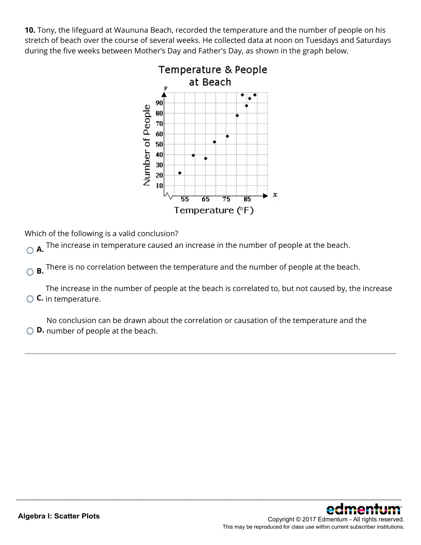**10.** Tony, the lifeguard at Waununa Beach, recorded the temperature and the number of people on his stretch of beach over the course of several weeks. He collected data at noon on Tuesdays and Saturdays during the five weeks between Mother's Day and Father's Day, as shown in the graph below.



Which of the following is a valid conclusion?

**A.** The increase in temperature caused an increase in the number of people at the beach.

**B.** There is no correlation between the temperature and the number of people at the beach.

**C.** in temperature. The increase in the number of people at the beach is correlated to, but not caused by, the increase

\_\_\_\_\_\_\_\_\_\_\_\_\_\_\_\_\_\_\_\_\_\_\_\_\_\_\_\_\_\_\_\_\_\_\_\_\_\_\_\_\_\_\_\_\_\_\_\_\_\_\_\_\_\_\_\_\_\_\_\_\_\_\_\_\_\_\_\_\_\_\_\_\_\_\_\_\_\_\_\_\_\_\_\_\_\_\_\_\_\_\_\_\_\_\_\_\_\_\_\_\_\_\_\_\_\_\_\_\_\_\_\_

**D.** number of people at the beach. No conclusion can be drawn about the correlation or causation of the temperature and the

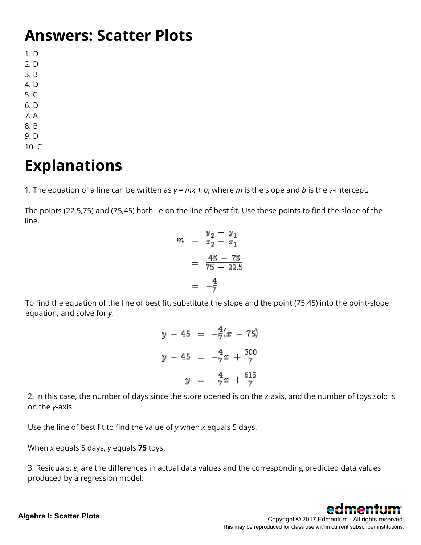#### **Answers: Scatter Plots**

1. D

- 2. D
- 3. B
- 4. D
- 5. C
- 6. D
- 7. A
- 8. B
- 9. D
- 10. C

### **Explanations**

1. The equation of a line can be written as *y* = *mx* + *b*, where *m* is the slope and *b* is the *y*-intercept.

The points (22.5,75) and (75,45) both lie on the line of best fit. Use these points to find the slope of the line.

$$
m = \frac{y_2 - y_1}{x_2 - x_1}
$$

$$
= \frac{45 - 75}{75 - 22.5}
$$

$$
= -\frac{4}{7}
$$

To find the equation of the line of best fit, substitute the slope and the point (75,45) into the point-slope equation, and solve for *y*.

|  |  | $y - 45 = -\frac{4}{7}(x - 75)$          |
|--|--|------------------------------------------|
|  |  | $y - 45 = -\frac{4}{7}x + \frac{300}{7}$ |
|  |  | $y = -\frac{4}{7}x + \frac{615}{7}$      |

2. In this case, the number of days since the store opened is on the *x*-axis, and the number of toys sold is on the *y*-axis.

Use the line of best fit to find the value of *y* when *x* equals 5 days.

When *x* equals 5 days, *y* equals **75** toys.

3. Residuals, *e*, are the differences in actual data values and the corresponding predicted data values produced by a regression model.

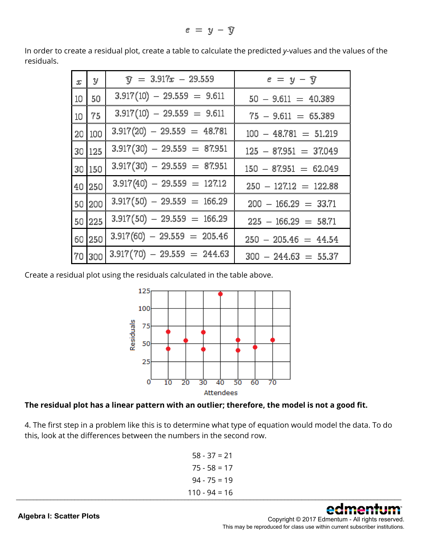$e = y - \widehat{y}$ 

| $\mathcal{X}$ | y       | $\widehat{\mathbf{v}} = 3.917x - 29.559$ | $e = y - \widehat{y}$   |
|---------------|---------|------------------------------------------|-------------------------|
|               | 10   50 | $3.917(10) - 29.559 = 9.611$             | $50 - 9.611 = 40.389$   |
|               | $10$ 75 | $3.917(10) - 29.559 = 9.611$             | $75 - 9.611 = 65.389$   |
|               | 20 100  | $3.917(20) - 29.559 = 48.781$            | $100 - 48.781 = 51.219$ |
|               | 30 125  | $3.917(30) - 29.559 = 87.951$            | $125 - 87.951 = 37.049$ |
|               | 30 150  | $3.917(30) - 29.559 = 87.951$            | $150 - 87.951 = 62.049$ |
|               | 40 250  | $3.917(40) - 29.559 = 127.12$            | $250 - 12712 = 122.88$  |
|               | 50 200  | $3.917(50) - 29.559 = 166.29$            | $200 - 166.29 = 33.71$  |
|               | 50 225  | $3.917(50) - 29.559 = 166.29$            | $225 - 166.29 = 58.71$  |
|               | 60 250  | $3.917(60) - 29.559 = 205.46$            | $250 - 205.46 = 44.54$  |
|               | 70 300  | $3.917(70) - 29.559 = 244.63$            | $300 - 244.63 = 55.37$  |

In order to create a residual plot, create a table to calculate the predicted *y*-values and the values of the residuals.

Create a residual plot using the residuals calculated in the table above.





4. The first step in a problem like this is to determine what type of equation would model the data. To do this, look at the differences between the numbers in the second row.

58 - 37 = 21  $75 - 58 = 17$  $94 - 75 = 19$  $110 - 94 = 16$ \_\_\_\_\_\_\_\_\_\_\_\_\_\_\_\_\_\_\_\_\_\_\_\_\_\_\_\_\_\_\_\_\_\_\_\_\_\_\_\_\_\_\_\_\_\_\_\_\_\_\_\_\_\_\_\_\_\_\_\_\_\_\_\_\_\_\_\_\_\_\_\_\_\_\_\_\_\_\_\_\_\_\_\_\_\_\_\_\_\_\_\_\_\_\_\_\_\_\_\_\_\_\_\_\_\_\_\_\_\_\_\_

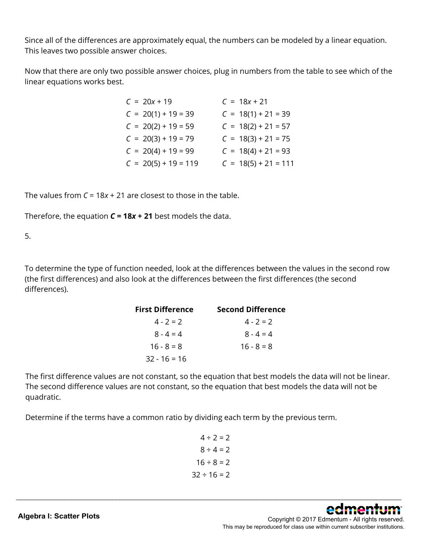Since all of the differences are approximately equal, the numbers can be modeled by a linear equation. This leaves two possible answer choices.

Now that there are only two possible answer choices, plug in numbers from the table to see which of the linear equations works best.

| $C = 20x + 19$         | $C = 18x + 21$         |
|------------------------|------------------------|
| $C = 20(1) + 19 = 39$  | $C = 18(1) + 21 = 39$  |
| $C = 20(2) + 19 = 59$  | $C = 18(2) + 21 = 57$  |
| $C = 20(3) + 19 = 79$  | $C = 18(3) + 21 = 75$  |
| $C = 20(4) + 19 = 99$  | $C = 18(4) + 21 = 93$  |
| $C = 20(5) + 19 = 119$ | $C = 18(5) + 21 = 111$ |

The values from *C* = 18*x* + 21 are closest to those in the table.

Therefore, the equation *C* **= 18***x* **+ 21** best models the data.

5.

To determine the type of function needed, look at the differences between the values in the second row (the first differences) and also look at the differences between the first differences (the second differences).

| <b>First Difference</b> | <b>Second Difference</b> |
|-------------------------|--------------------------|
| $4 - 2 = 2$             | $4 - 2 = 2$              |
| $8 - 4 = 4$             | $8 - 4 = 4$              |
| $16 - 8 = 8$            | $16 - 8 = 8$             |
| $32 - 16 = 16$          |                          |

The first difference values are not constant, so the equation that best models the data will not be linear. The second difference values are not constant, so the equation that best models the data will not be quadratic.

Determine if the terms have a common ratio by dividing each term by the previous term.

 $4 \div 2 = 2$  $8 \div 4 = 2$  $16 \div 8 = 2$  $32 \div 16 = 2$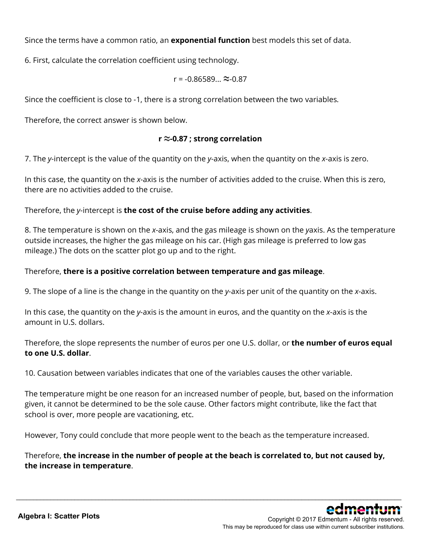Since the terms have a common ratio, an **exponential function** best models this set of data.

6. First, calculate the correlation coefficient using technology.

$$
r = -0.86589... \approx 0.87
$$

Since the coefficient is close to -1, there is a strong correlation between the two variables.

Therefore, the correct answer is shown below.

#### **r ≈-0.87 ; strong correlation**

7. The *y*-intercept is the value of the quantity on the *y*-axis, when the quantity on the *x*-axis is zero.

In this case, the quantity on the *x*-axis is the number of activities added to the cruise. When this is zero, there are no activities added to the cruise.

Therefore, the *y*-intercept is **the cost of the cruise before adding any activities**.

8. The temperature is shown on the *x*-axis, and the gas mileage is shown on the *y*axis. As the temperature outside increases, the higher the gas mileage on his car. (High gas mileage is preferred to low gas mileage.) The dots on the scatter plot go up and to the right.

#### Therefore, **there is a positive correlation between temperature and gas mileage**.

9. The slope of a line is the change in the quantity on the *y*-axis per unit of the quantity on the *x*-axis.

In this case, the quantity on the *y*-axis is the amount in euros, and the quantity on the *x*-axis is the amount in U.S. dollars.

Therefore, the slope represents the number of euros per one U.S. dollar, or **the number of euros equal to one U.S. dollar**.

10. Causation between variables indicates that one of the variables causes the other variable.

The temperature might be one reason for an increased number of people, but, based on the information given, it cannot be determined to be the sole cause. Other factors might contribute, like the fact that school is over, more people are vacationing, etc.

However, Tony could conclude that more people went to the beach as the temperature increased.

Therefore, **the increase in the number of people at the beach is correlated to, but not caused by, the increase in temperature**.

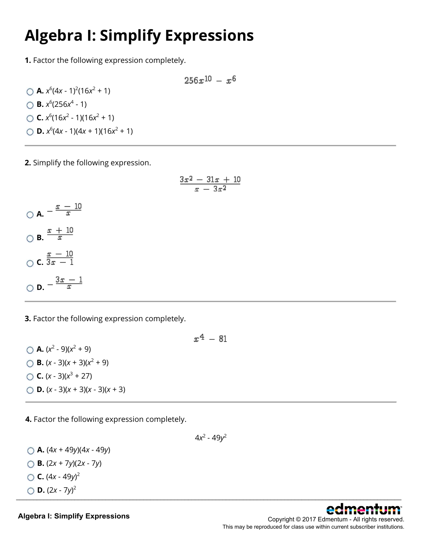### **Algebra I: Simplify Expressions**

**1.** Factor the following expression completely.

$$
256x^{10} - x^6
$$

**A.**  $x^6(4x - 1)^2(16x^2 + 1)$ **B.**  $x^6$ (256 $x^4$  - 1) **C.**  $x^6(16x^2 - 1)(16x^2 + 1)$ **D.**  $x^6(4x - 1)(4x + 1)(16x^2 + 1)$ 

**2.** Simplify the following expression.

$$
\frac{3x^2-31x+10}{x-3x^2}
$$

$$
\bigcirc \mathbf{A.} = \frac{x - 10}{x}
$$
  

$$
\bigcirc \mathbf{B.} \frac{x + 10}{x}
$$
  

$$
\bigcirc \mathbf{C.} \frac{x - 10}{3x - 1}
$$
  

$$
\bigcirc \mathbf{D.} = \frac{3x - 1}{x}
$$

**3.** Factor the following expression completely.

\n- **A.** 
$$
(x^2 - 9)(x^2 + 9)
$$
\n- **B.**  $(x - 3)(x + 3)(x^2 + 9)$
\n- **C.**  $(x - 3)(x^3 + 27)$
\n- **D.**  $(x - 3)(x + 3)(x - 3)(x + 3)$
\n

**4.** Factor the following expression completely.

4*x*<sup>2</sup> - 49*y*<sup>2</sup>

**A.** (4*x* + 49*y*)(4*x* - 49*y*) **B.** (2*x* + 7*y*)(2*x* - 7*y*)

C. 
$$
(4x - 49y)^2
$$

$$
\bigcirc \mathbf{D}.(2x-7y)^2
$$

**Algebra I: Simplify Expressions**

Copyright © 2017 Edmentum - All rights reserved. This may be reproduced for class use within current subscriber institutions.



 $x^4 - 81$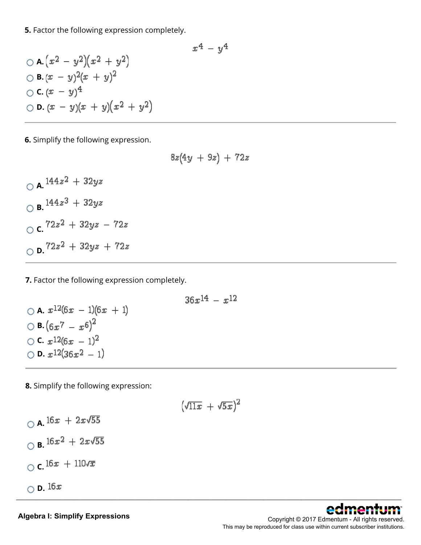**5.** Factor the following expression completely.

$$
x^{4} - y^{4}
$$
  
\n
$$
\bigcirc A.(x^{2} - y^{2})(x^{2} + y^{2})
$$
  
\n
$$
\bigcirc B.(x - y)^{2}(x + y)^{2}
$$
  
\n
$$
\bigcirc C.(x - y)^{4}
$$
  
\n
$$
\bigcirc D.(x - y)(x + y)(x^{2} + y^{2})
$$

**6.** Simplify the following expression.

$$
8z(4y+9z)+72z
$$

 $\bigcirc$  **A.**  $144z^2 + 32yz$  $\bigcirc$  **B.**  $144z^3 + 32yz$  $\int$ **c.**  $72z^2 + 32yz - 72z$  $O$  **D.**  $72z^2 + 32yz + 72z$ 

**7.** Factor the following expression completely.

\n- 0 A. 
$$
x^{12}(6x - 1)(6x + 1)
$$
\n- 0 B.  $(6x^7 - x^6)^2$
\n- 0 C.  $x^{12}(6x - 1)^2$
\n- 0 D.  $x^{12}(36x^2 - 1)$
\n

**8.** Simplify the following expression:

$$
(\sqrt{11x} + \sqrt{5x})^2
$$

\_\_\_\_\_\_\_\_\_\_\_\_\_\_\_\_\_\_\_\_\_\_\_\_\_\_\_\_\_\_\_\_\_\_\_\_\_\_\_\_\_\_\_\_\_\_\_\_\_\_\_\_\_\_\_\_\_\_\_\_\_\_\_\_\_\_\_\_\_\_\_\_\_\_\_\_\_\_\_\_\_\_\_\_\_\_\_\_\_\_\_\_\_\_\_\_\_\_\_\_\_\_\_\_\_\_\_\_\_\_\_\_

 $\bigcirc$  **A.**  $16x + 2x\sqrt{55}$  $\bigcirc$  **B.**  $16x^2 + 2x\sqrt{55}$  $\bigcirc$  **c.**  $16x + 110\sqrt{x}$  $\bigcirc$  **D.** 16x



**Algebra I: Simplify Expressions**

Copyright © 2017 Edmentum - All rights reserved. This may be reproduced for class use within current subscriber institutions.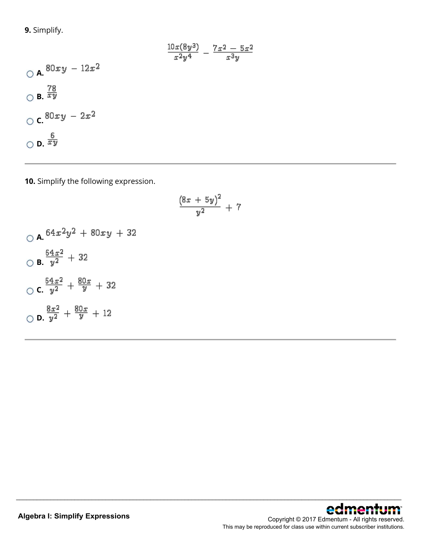**9.** Simplify.

$$
\frac{10x(8y^3)}{x^2y^4} - \frac{7x^2 - 5x^2}{x^3y}
$$
  
0 A.  $80xy - 12x^2$   
0 B.  $\frac{78}{xy}$   
0 C.  $80xy - 2x^2$   
0 D.  $\frac{6}{xy}$ 

**10.** Simplify the following expression.

$$
\frac{(8x+5y)^2}{y^2}+7
$$

\_\_\_\_\_\_\_\_\_\_\_\_\_\_\_\_\_\_\_\_\_\_\_\_\_\_\_\_\_\_\_\_\_\_\_\_\_\_\_\_\_\_\_\_\_\_\_\_\_\_\_\_\_\_\_\_\_\_\_\_\_\_\_\_\_\_\_\_\_\_\_\_\_\_\_\_\_\_\_\_\_\_\_\_\_\_\_\_\_\_\_\_\_\_\_\_\_\_\_\_\_\_\_\_\_\_\_\_\_\_\_\_

 $0 A.$ <sup>64x2</sup>y<sup>2</sup> + 80xy + 32  $\frac{64x^2}{y^2} + 32$  $\frac{64x^2}{y^2} + \frac{80x}{y} + 32$ **D.**  $\frac{8x^2}{y^2} + \frac{80x}{y} + 12$ 

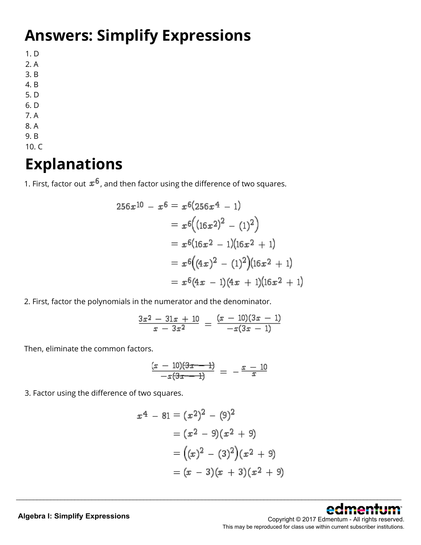## **Answers: Simplify Expressions**

- 1. D
- 2. A
- 3. B
- 4. B
- 5. D 6. D
- 7. A
- 8. A
- 9. B
- 10. C

### **Explanations**

1. First, factor out  $x^6$ , and then factor using the difference of two squares.

$$
256x^{10} - x^6 = x^6(256x^4 - 1)
$$
  
=  $x^6((16x^2)^2 - (1)^2)$   
=  $x^6(16x^2 - 1)(16x^2 + 1)$   
=  $x^6((4x)^2 - (1)^2)(16x^2 + 1)$   
=  $x^6(4x - 1)(4x + 1)(16x^2 + 1)$ 

2. First, factor the polynomials in the numerator and the denominator.

$$
\frac{3x^2-31x+10}{x-3x^2} = \frac{(x-10)(3x-1)}{-x(3x-1)}
$$

Then, eliminate the common factors.

$$
\frac{(x-10)(3x-1)}{-x(3x-1)} = -\frac{x-10}{x}
$$

3. Factor using the difference of two squares.

$$
x4 - 81 = (x2)2 - (9)2
$$
  
= (x<sup>2</sup> - 9)(x<sup>2</sup> + 9)  
= ((x)<sup>2</sup> - (3)<sup>2</sup>)(x<sup>2</sup> + 9)  
= (x - 3)(x + 3)(x<sup>2</sup> + 9)

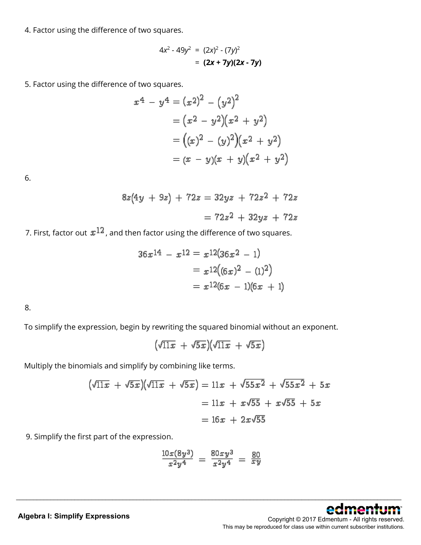4. Factor using the difference of two squares.

$$
4x2 - 49y2 = (2x)2 - (7y)2
$$

$$
= (2x + 7y)(2x - 7y)
$$

5. Factor using the difference of two squares.

$$
x^{4} - y^{4} = (x^{2})^{2} - (y^{2})^{2}
$$
  
=  $(x^{2} - y^{2})(x^{2} + y^{2})$   
=  $((x)^{2} - (y)^{2})(x^{2} + y^{2})$   
=  $(x - y)(x + y)(x^{2} + y^{2})$ 

6.

$$
8z(4y + 9z) + 72z = 32yz + 72z2 + 72z
$$

$$
= 72z2 + 32yz + 72z
$$

7. First, factor out  $x^{12}$ , and then factor using the difference of two squares.

$$
36x^{14} - x^{12} = x^{12}(36x^2 - 1)
$$
  
=  $x^{12}((6x)^2 - (1)^2)$   
=  $x^{12}(6x - 1)(6x + 1)$ 

8.

To simplify the expression, begin by rewriting the squared binomial without an exponent.

 $(\sqrt{11x} + \sqrt{5x})(\sqrt{11x} + \sqrt{5x})$ 

Multiply the binomials and simplify by combining like terms.

$$
(\sqrt{11x} + \sqrt{5x})(\sqrt{11x} + \sqrt{5x}) = 11x + \sqrt{55x^2} + \sqrt{55x^2} + 5x
$$

$$
= 11x + x\sqrt{55} + x\sqrt{55} + 5x
$$

$$
= 16x + 2x\sqrt{55}
$$

9. Simplify the first part of the expression.

$$
\frac{10x(8y^3)}{x^2y^4} = \frac{80xy^3}{x^2y^4} = \frac{80}{xy}
$$



#### **Algebra I: Simplify Expressions**

Copyright © 2017 Edmentum - All rights reserved. This may be reproduced for class use within current subscriber institutions.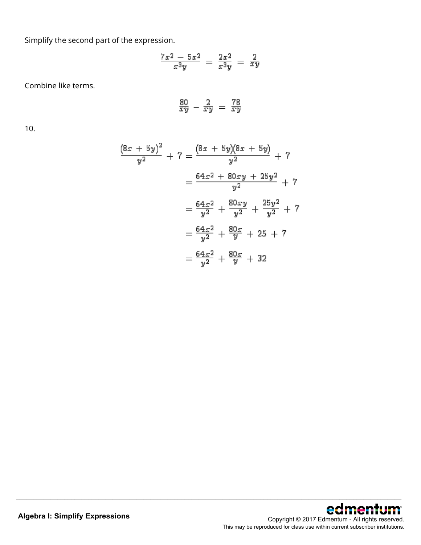Simplify the second part of the expression.

$$
\frac{7x^2-5x^2}{x^3y}=\frac{2x^2}{x^3y}=\frac{2}{xy}
$$

Combine like terms.

$$
\frac{80}{xy} - \frac{2}{xy} = \frac{78}{xy}
$$

10.

$$
\frac{(8x + 5y)^2}{y^2} + 7 = \frac{(8x + 5y)(8x + 5y)}{y^2} + 7
$$

$$
= \frac{64x^2 + 80xy + 25y^2}{y^2} + 7
$$

$$
= \frac{64x^2}{y^2} + \frac{80xy}{y^2} + \frac{25y^2}{y^2} + 7
$$

$$
= \frac{64x^2}{y^2} + \frac{80x}{y} + 25 + 7
$$

$$
= \frac{64x^2}{y^2} + \frac{80x}{y} + 32
$$

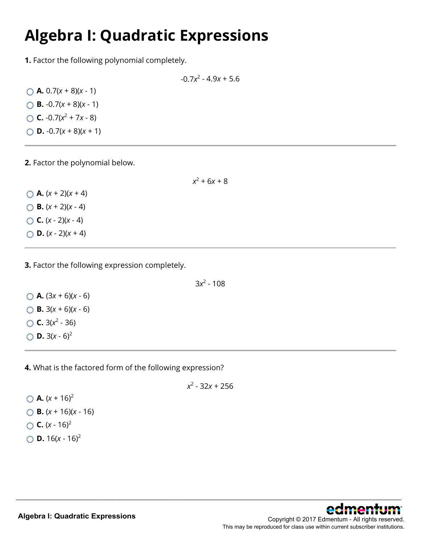#### **Algebra I: Quadratic Expressions**

**1.** Factor the following polynomial completely.

-0.7*x*<sup>2</sup> - 4.9*x* + 5.6

 $\bigcirc$  **A.** 0.7(*x* + 8)(*x* - 1)  $\bigcirc$  **B.** -0.7(*x* + 8)(*x* - 1)  $\bigcirc$  **C.** -0.7( $x^2$  + 7*x* - 8)  $\bigcirc$  **D.** -0.7(*x* + 8)(*x* + 1)

**2.** Factor the polynomial below.

 $x^2$  + 6*x* + 8

 $(A. (x + 2)(x + 4))$  $\bigcirc$  **B.**  $(x + 2)(x - 4)$  $C. (x - 2)(x - 4)$  $\bigcirc$  **D.**  $(x - 2)(x + 4)$ 

**3.** Factor the following expression completely.

3*x*<sup>2</sup> - 108

 $\bigcirc$  **A.** (3*x* + 6)(*x* - 6)  $\bigcirc$  **B.** 3(*x* + 6)(*x* - 6)  $\bigcirc$  **C.** 3( $x^2$  - 36)  $\bigcirc$  **D.** 3(*x* - 6)<sup>2</sup>

**4.** What is the factored form of the following expression?

*x*2 - 32*x* + 256

\_\_\_\_\_\_\_\_\_\_\_\_\_\_\_\_\_\_\_\_\_\_\_\_\_\_\_\_\_\_\_\_\_\_\_\_\_\_\_\_\_\_\_\_\_\_\_\_\_\_\_\_\_\_\_\_\_\_\_\_\_\_\_\_\_\_\_\_\_\_\_\_\_\_\_\_\_\_\_\_\_\_\_\_\_\_\_\_\_\_\_\_\_\_\_\_\_\_\_\_\_\_\_\_\_\_\_\_\_\_\_\_

 $\bigcirc$  **A.**  $(x + 16)^2$ **B.** (*x* + 16)(*x* - 16)  $C. (x - 16)^2$  $\bigcirc$  **D.** 16(*x* - 16)<sup>2</sup>

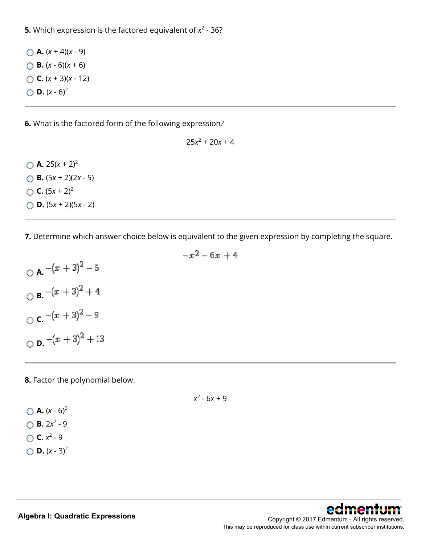**5.** Which expression is the factored equivalent of  $x^2$  - 36?

 $(A. (x + 4)(x - 9))$  $\bigcap$  **B.**  $(x - 6)(x + 6)$ **C.** (*x* + 3)(*x* - 12)  $\bigcirc$  **D.**  $(x - 6)^2$ 

**6.** What is the factored form of the following expression?

 $25x^2 + 20x + 4$ 

 $\bigcap$  **A.** 25(*x* + 2)<sup>2</sup> **B.** (5*x* + 2)(2*x* - 5)  $C. (5x + 2)^2$ **D.** (5*x* + 2)(5*x* - 2)

**7.** Determine which answer choice below is equivalent to the given expression by completing the square.

 $-x^2-6x+4$ 

 $\bigcirc$  **A.**  $-(x+3)^2-5$  $\bigcirc$  **B.**  $-(x+3)^2 + 4$ **C.**  $-(x+3)^2 - 9$  $\bigcirc$  **D.**  $-(x+3)^2 + 13$ 

**8.** Factor the polynomial below.

*x*2 - 6*x* + 9

\_\_\_\_\_\_\_\_\_\_\_\_\_\_\_\_\_\_\_\_\_\_\_\_\_\_\_\_\_\_\_\_\_\_\_\_\_\_\_\_\_\_\_\_\_\_\_\_\_\_\_\_\_\_\_\_\_\_\_\_\_\_\_\_\_\_\_\_\_\_\_\_\_\_\_\_\_\_\_\_\_\_\_\_\_\_\_\_\_\_\_\_\_\_\_\_\_\_\_\_\_\_\_\_\_\_\_\_\_\_\_\_

 $(A. (x - 6)^2)$  $\bigcirc$  **B.** 2*x*<sup>2</sup> - 9  $\bigcap$  **C.**  $x^2 - 9$  $\bigcirc$  **D.**  $(x - 3)^2$ 

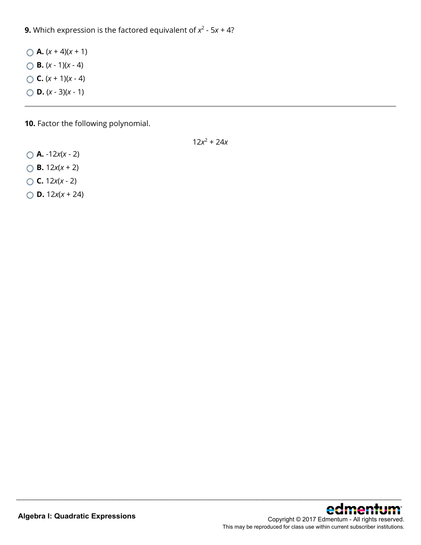**9.** Which expression is the factored equivalent of  $x^2$  - 5 $x$  + 4?

 $\bigcirc$  **A.**  $(x + 4)(x + 1)$ **B.** (*x* - 1)(*x* - 4)  $C. (x + 1)(x - 4)$ **D.** (*x* - 3)(*x* - 1)

**10.** Factor the following polynomial.

 $12x^2 + 24x$ 

- **A.** -12*x*(*x* 2) **B.** 12*x*(*x* + 2) **C.** 12*x*(*x* - 2)
- **D.** 12*x*(*x* + 24)

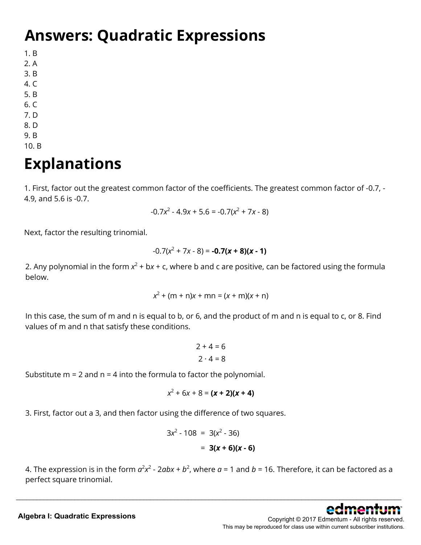#### **Answers: Quadratic Expressions**

1. B

- 2. A
- 3. B
- 4. C
- 5. B
- 6. C
- 7. D 8. D
- 9. B
- 10. B

# **Explanations**

1. First, factor out the greatest common factor of the coefficients. The greatest common factor of -0.7, - 4.9, and 5.6 is -0.7.

$$
-0.7x^2 - 4.9x + 5.6 = -0.7(x^2 + 7x - 8)
$$

Next, factor the resulting trinomial.

$$
-0.7(x^2 + 7x - 8) = -0.7(x + 8)(x - 1)
$$

2. Any polynomial in the form  $x^2 + bx + c$ , where b and c are positive, can be factored using the formula below.

$$
x^2 + (m + n)x + mn = (x + m)(x + n)
$$

In this case, the sum of m and n is equal to b, or 6, and the product of m and n is equal to c, or 8. Find values of m and n that satisfy these conditions.

$$
2 + 4 = 6
$$

$$
2 \cdot 4 = 8
$$

Substitute  $m = 2$  and  $n = 4$  into the formula to factor the polynomial.

$$
x^2 + 6x + 8 = (x + 2)(x + 4)
$$

3. First, factor out a 3, and then factor using the difference of two squares.

$$
3x2 - 108 = 3(x2 - 36)
$$
  
= 3(x + 6)(x - 6)

4. The expression is in the form  $a^2x^2$  - 2 $abx$  +  $b^2$ , where  $a$  = 1 and  $b$  = 16. Therefore, it can be factored as a perfect square trinomial.

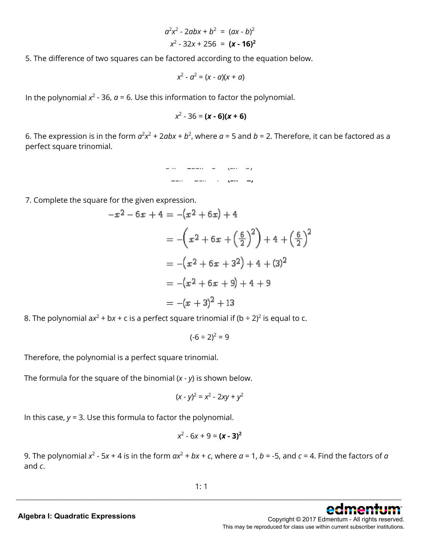$$
a2x2 - 2abx + b2 = (ax - b)2
$$

$$
x2 - 32x + 256 = (x - 16)2
$$

5. The difference of two squares can be factored according to the equation below.

$$
x^2 - a^2 = (x - a)(x + a)
$$

In the polynomial  $x^2$  - 36,  $a$  = 6. Use this information to factor the polynomial.

*x*2 - 36 = **(***x* **- 6)(***x* **+ 6)**

6. The expression is in the form  $a^2x^2 + 2abx + b^2$ , where  $a = 5$  and  $b = 2$ . Therefore, it can be factored as a perfect square trinomial.



7. Complete the square for the given expression.

$$
-x^{2}-6x+4 = -(x^{2}+6x)+4
$$
  

$$
= -(x^{2}+6x+(\frac{6}{2})^{2})+4+(\frac{6}{2})^{2}
$$
  

$$
= -(x^{2}+6x+3^{2})+4+(3)^{2}
$$
  

$$
= -(x^{2}+6x+9)+4+9
$$
  

$$
= -(x+3)^{2}+13
$$

8. The polynomial  $ax^2 + bx + c$  is a perfect square trinomial if  $(b \div 2)^2$  is equal to c.

 $(-6 \div 2)^2 = 9$ 

Therefore, the polynomial is a perfect square trinomial.

The formula for the square of the binomial (*x* - *y*) is shown below.

$$
(x - y)^2 = x^2 - 2xy + y^2
$$

In this case, *y* = 3. Use this formula to factor the polynomial.

$$
x^2 - 6x + 9 = (x - 3)^2
$$

9. The polynomial  $x^2$  - 5x + 4 is in the form  $ax^2 + bx + c$ , where  $a = 1$ ,  $b =$  -5, and  $c = 4$ . Find the factors of  $a$ and *c*.

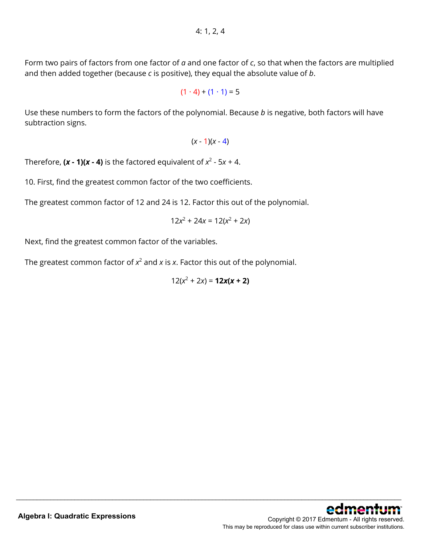Form two pairs of factors from one factor of *a* and one factor of *c*, so that when the factors are multiplied and then added together (because *c* is positive), they equal the absolute value of *b*.

$$
(1 \cdot 4) + (1 \cdot 1) = 5
$$

Use these numbers to form the factors of the polynomial. Because *b* is negative, both factors will have subtraction signs.

 $(x - 1)(x - 4)$ 

Therefore,  $(x - 1)(x - 4)$  is the factored equivalent of  $x^2 - 5x + 4$ .

10. First, find the greatest common factor of the two coefficients.

The greatest common factor of 12 and 24 is 12. Factor this out of the polynomial.

 $12x^2 + 24x = 12(x^2 + 2x)$ 

Next, find the greatest common factor of the variables.

The greatest common factor of  $x^2$  and  $x$  is  $x$ . Factor this out of the polynomial.

$$
12(x^2+2x) = 12x(x+2)
$$

\_\_\_\_\_\_\_\_\_\_\_\_\_\_\_\_\_\_\_\_\_\_\_\_\_\_\_\_\_\_\_\_\_\_\_\_\_\_\_\_\_\_\_\_\_\_\_\_\_\_\_\_\_\_\_\_\_\_\_\_\_\_\_\_\_\_\_\_\_\_\_\_\_\_\_\_\_\_\_\_\_\_\_\_\_\_\_\_\_\_\_\_\_\_\_\_\_\_\_\_\_\_\_\_\_\_\_\_\_\_\_\_

This may be reproduced for class use within current subscriber institutions.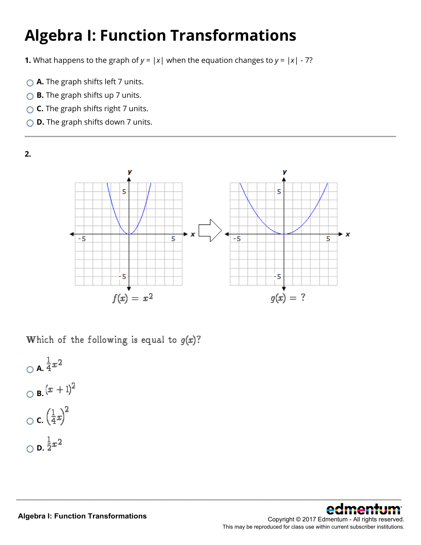# **Algebra I: Function Transformations**

**1.** What happens to the graph of  $y = |x|$  when the equation changes to  $y = |x| - 7$ ?

- **△ A.** The graph shifts left 7 units.
- ◯ **B.** The graph shifts up 7 units.
- **C.** The graph shifts right 7 units.
- **D.** The graph shifts down 7 units.



\_\_\_\_\_\_\_\_\_\_\_\_\_\_\_\_\_\_\_\_\_\_\_\_\_\_\_\_\_\_\_\_\_\_\_\_\_\_\_\_\_\_\_\_\_\_\_\_\_\_\_\_\_\_\_\_\_\_\_\_\_\_\_\_\_\_\_\_\_\_\_\_\_\_\_\_\_\_\_\_\_\_\_\_\_\_\_\_\_\_\_\_\_\_\_\_\_\_\_\_\_\_\_\_\_\_\_\_\_\_\_\_

Which of the following is equal to  $g(x)$ ?

$$
\bigcirc \mathbf{A}.\frac{1}{4}x^2
$$
  

$$
\bigcirc \mathbf{B}.\left(x+1\right)^2
$$
  

$$
\bigcirc \mathbf{C}.\left(\frac{1}{4}x\right)^2
$$
  

$$
\bigcirc \mathbf{D}.\frac{1}{2}x^2
$$

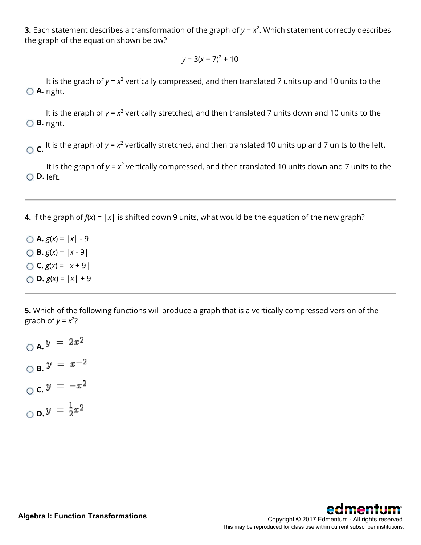**3.** Each statement describes a transformation of the graph of  $y = x^2$ . Which statement correctly describes the graph of the equation shown below?

$$
y = 3(x + 7)^2 + 10
$$

**A.** right. It is the graph of  $y = x^2$  vertically compressed, and then translated 7 units up and 10 units to the

**B.** right. It is the graph of *y* = *x*<sup>2</sup> vertically stretched, and then translated 7 units down and 10 units to the

 $\overline{C}$ . It is the graph of *y* = *x*<sup>2</sup> vertically stretched, and then translated 10 units up and 7 units to the left.

**D.** left. It is the graph of  $y = x^2$  vertically compressed, and then translated 10 units down and 7 units to the

**4.** If the graph of  $f(x) = |x|$  is shifted down 9 units, what would be the equation of the new graph?

 $\bigcirc$  **A.**  $g(x) = |x| - 9$  $\bigcirc$  **B.**  $g(x) = |x - 9|$  $\bigcirc$  **C.**  $g(x) = |x + 9|$  $\bigcirc$  **D.**  $g(x) = |x| + 9$ 

**5.** Which of the following functions will produce a graph that is a vertically compressed version of the graph of  $y = x^2$ ?

\_\_\_\_\_\_\_\_\_\_\_\_\_\_\_\_\_\_\_\_\_\_\_\_\_\_\_\_\_\_\_\_\_\_\_\_\_\_\_\_\_\_\_\_\_\_\_\_\_\_\_\_\_\_\_\_\_\_\_\_\_\_\_\_\_\_\_\_\_\_\_\_\_\_\_\_\_\_\_\_\_\_\_\_\_\_\_\_\_\_\_\_\_\_\_\_\_\_\_\_\_\_\_\_\_\_\_\_\_\_\_\_

 $\bigcirc$  **A.**  $y = 2x^2$ **B. C. D.**  $y = \frac{1}{2}x^2$ 

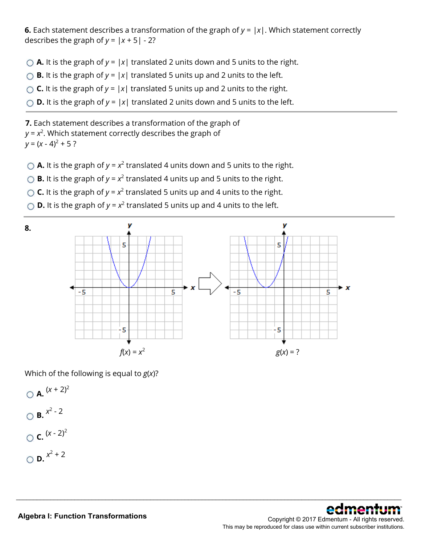**6.** Each statement describes a transformation of the graph of  $y = |x|$ . Which statement correctly describes the graph of  $y = |x + 5| - 2$ ?

- $\bigcirc$  **A.** It is the graph of  $y = |x|$  translated 2 units down and 5 units to the right.
- $\bigcirc$  **B.** It is the graph of  $y = |x|$  translated 5 units up and 2 units to the left.
- **C.** It is the graph of  $y = |x|$  translated 5 units up and 2 units to the right.
- $\bigcirc$  **D.** It is the graph of  $y = |x|$  translated 2 units down and 5 units to the left.

**7.** Each statement describes a transformation of the graph of  $y$  =  $x^2$ . Which statement correctly describes the graph of  $y = (x - 4)^2 + 5$ ?

- $\bigcirc$  **A.** It is the graph of  $y = x^2$  translated 4 units down and 5 units to the right.
- $\bigcirc$  **B.** It is the graph of  $y = x^2$  translated 4 units up and 5 units to the right.
- **C.** It is the graph of  $y = x^2$  translated 5 units up and 4 units to the right.
- $\bigcirc$  **D.** It is the graph of  $y = x^2$  translated 5 units up and 4 units to the left.



\_\_\_\_\_\_\_\_\_\_\_\_\_\_\_\_\_\_\_\_\_\_\_\_\_\_\_\_\_\_\_\_\_\_\_\_\_\_\_\_\_\_\_\_\_\_\_\_\_\_\_\_\_\_\_\_\_\_\_\_\_\_\_\_\_\_\_\_\_\_\_\_\_\_\_\_\_\_\_\_\_\_\_\_\_\_\_\_\_\_\_\_\_\_\_\_\_\_\_\_\_\_\_\_\_\_\_\_\_\_\_\_

Which of the following is equal to *g*(*x*)?

 $\bigcirc$  **A.**  $(x + 2)^2$  $\bigcirc$  **B.**  $x^2 - 2$  $C.$   $(x - 2)^2$  $\bigcirc$  **D**.  $x^2 + 2$ 

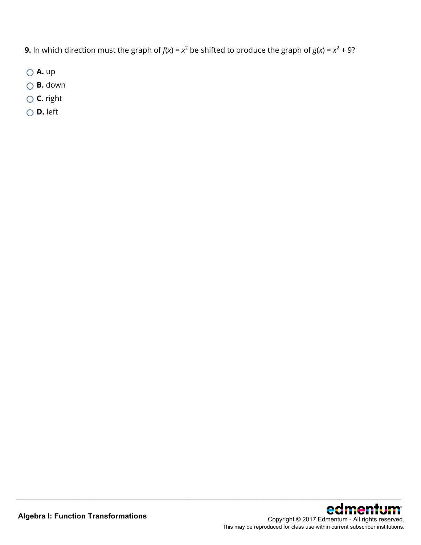**9.** In which direction must the graph of  $f(x) = x^2$  be shifted to produce the graph of  $g(x) = x^2 + 9$ ?

- **A.** up
- **B.** down
- **C.** right
- **D.** left

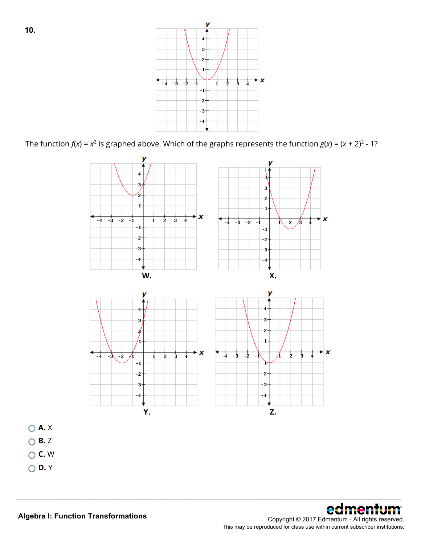v  $\overline{\mathbf{3}}$  $\overline{2}$  $\star x$  $-4$   $-3$   $-2$  $\overline{2}$  $rac{1}{3}$ 7  $-1$  $\mathbf{i}$  $-2$ -3

The function  $f(x) = x^2$  is graphed above. Which of the graphs represents the function  $g(x) = (x + 2)^2 - 1$ ?



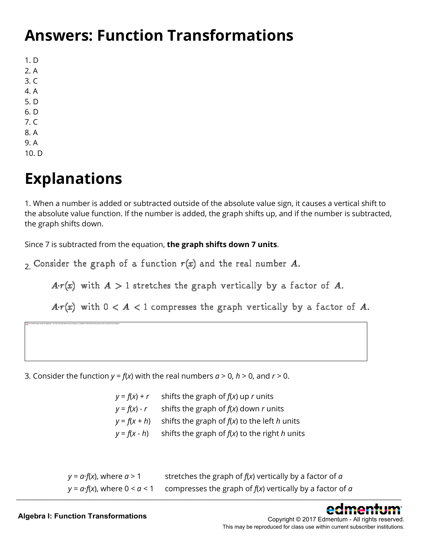### **Answers: Function Transformations**

1. D 2. A 3. C 4. A 5. D 6. D 7. C 8. A 9. A

10. D

### **Explanations**

The linked image cannot be displayed. The file may have been moved, renamed, or deleted. Verify that the link points to the correct file and location.

1. When a number is added or subtracted outside of the absolute value sign, it causes a vertical shift to the absolute value function. If the number is added, the graph shifts up, and if the number is subtracted, the graph shifts down.

Since 7 is subtracted from the equation, **the graph shifts down 7 units**.

 $2$  Consider the graph of a function  $r(x)$  and the real number A.

 $A r(x)$  with  $A > 1$  stretches the graph vertically by a factor of A.

 $Ar(x)$  with  $0 < A < 1$  compresses the graph vertically by a factor of A.

3. Consider the function  $y = f(x)$  with the real numbers  $a > 0$ ,  $h > 0$ , and  $r > 0$ .

| $y = f(x) + r$ | shifts the graph of $f(x)$ up r units           |
|----------------|-------------------------------------------------|
| $y = f(x) - r$ | shifts the graph of $f(x)$ down r units         |
| $y = f(x + h)$ | shifts the graph of $f(x)$ to the left h units  |
| $y = f(x - h)$ | shifts the graph of $f(x)$ to the right h units |

| $y = a \cdot f(x)$ , where $a > 1$         | stretches the graph of $f(x)$ vertically by a factor of $\alpha$  |
|--------------------------------------------|-------------------------------------------------------------------|
| $y = a \cdot f(x)$ , where $0 \le a \le 1$ | compresses the graph of $f(x)$ vertically by a factor of $\alpha$ |



Copyright © 2017 Edmentum - All rights reserved. This may be reproduced for class use within current subscriber institutions.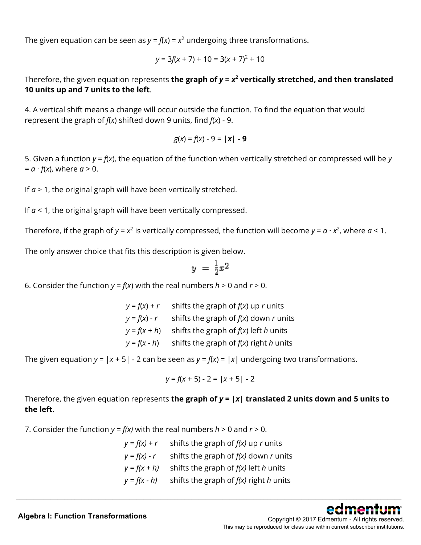The given equation can be seen as  $y = f(x) = x^2$  undergoing three transformations.

$$
y = 3f(x + 7) + 10 = 3(x + 7)^{2} + 10
$$

Therefore, the given equation represents the graph of  $y = x^2$  vertically stretched, and then translated **10 units up and 7 units to the left**.

4. A vertical shift means a change will occur outside the function. To find the equation that would represent the graph of *f*(*x*) shifted down 9 units, find *f*(*x*) - 9.

$$
g(x) = f(x) - 9 = |x| - 9
$$

5. Given a function *y* = *f*(*x*), the equation of the function when vertically stretched or compressed will be *y*  $= a \cdot f(x)$ , where  $a > 0$ .

If  $a > 1$ , the original graph will have been vertically stretched.

If  $a < 1$ , the original graph will have been vertically compressed.

Therefore, if the graph of  $y = x^2$  is vertically compressed, the function will become  $y = a \cdot x^2$ , where  $a < 1$ .

The only answer choice that fits this description is given below.

$$
y = \frac{1}{2}x^2
$$

6. Consider the function  $y = f(x)$  with the real numbers  $h > 0$  and  $r > 0$ .

 $y = f(x) + r$  shifts the graph of  $f(x)$  up *r* units  $y = f(x) - r$  shifts the graph of  $f(x)$  down *r* units  $y = f(x + h)$  shifts the graph of  $f(x)$  left *h* units  $y = f(x - h)$  shifts the graph of  $f(x)$  right *h* units

The given equation  $y = |x + 5| - 2$  can be seen as  $y = f(x) = |x|$  undergoing two transformations.

$$
y = f(x + 5) - 2 = |x + 5| - 2
$$

Therefore, the given equation represents **the graph of** *y* **= |***x***| translated 2 units down and 5 units to the left**.

7. Consider the function  $y = f(x)$  with the real numbers  $h > 0$  and  $r > 0$ .

$$
y = f(x) + r
$$
 shifts the graph of  $f(x)$  up  $r$  units  
\n
$$
y = f(x) - r
$$
 shifts the graph of  $f(x)$  down  $r$  units  
\n
$$
y = f(x + h)
$$
 shifts the graph of  $f(x)$  left  $h$  units  
\n
$$
y = f(x - h)
$$
 shifts the graph of  $f(x)$  right  $h$  units